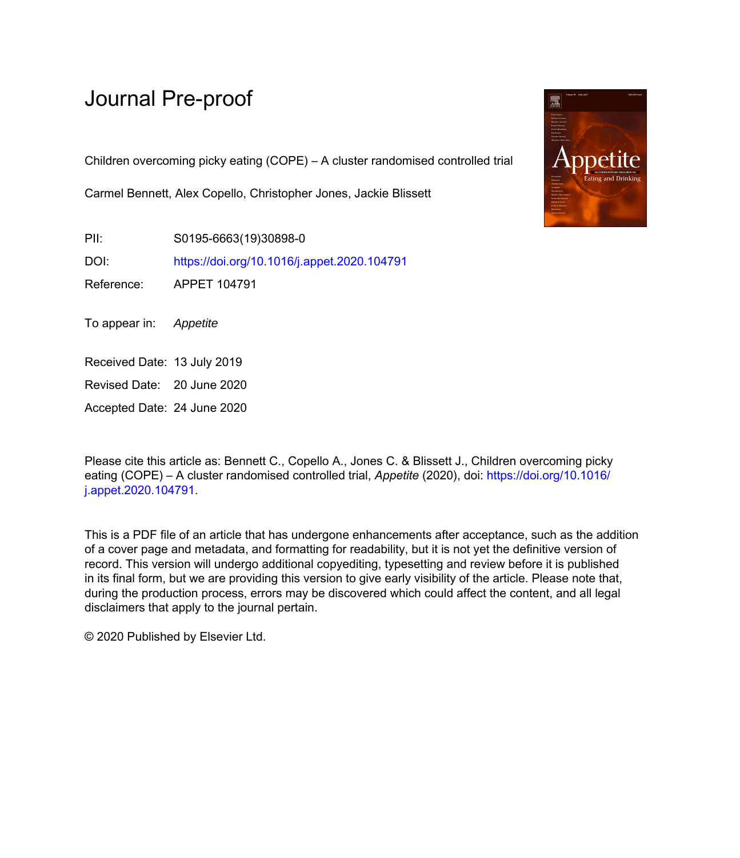# Journal Pre-proof

Children overcoming picky eating (COPE) – A cluster randomised controlled trial

Carmel Bennett, Alex Copello, Christopher Jones, Jackie Blissett

PII: S0195-6663(19)30898-0 DOI: <https://doi.org/10.1016/j.appet.2020.104791>

Reference: APPET 104791

To appear in: Appetite

Received Date: 13 July 2019

Revised Date: 20 June 2020

Accepted Date: 24 June 2020

Please cite this article as: Bennett C., Copello A., Jones C. & Blissett J., Children overcoming picky eating (COPE) – A cluster randomised controlled trial, *Appetite* (2020), doi: [https://doi.org/10.1016/](https://doi.org/10.1016/j.appet.2020.104791) [j.appet.2020.104791](https://doi.org/10.1016/j.appet.2020.104791).

This is a PDF file of an article that has undergone enhancements after acceptance, such as the addition of a cover page and metadata, and formatting for readability, but it is not yet the definitive version of record. This version will undergo additional copyediting, typesetting and review before it is published in its final form, but we are providing this version to give early visibility of the article. Please note that, during the production process, errors may be discovered which could affect the content, and all legal disclaimers that apply to the journal pertain.

© 2020 Published by Elsevier Ltd.

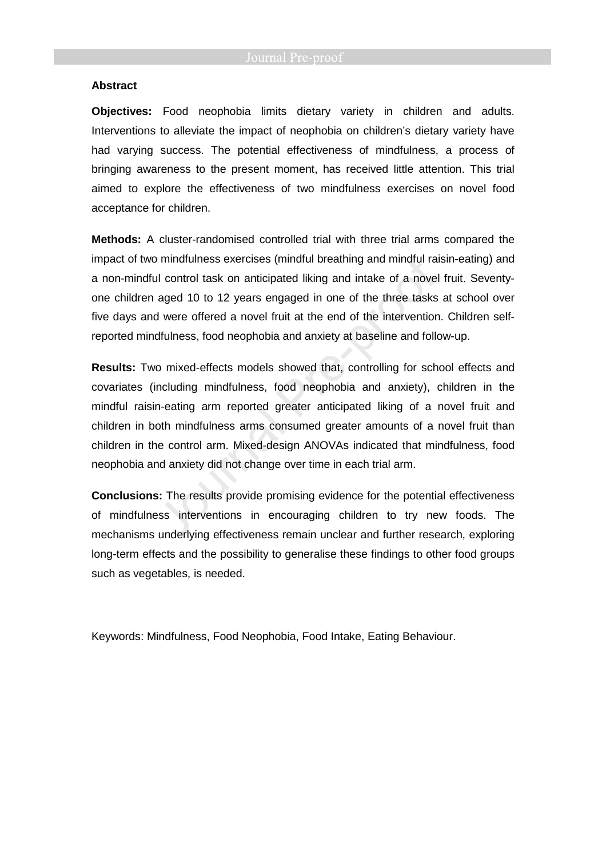### **Abstract**

**Objectives:** Food neophobia limits dietary variety in children and adults. Interventions to alleviate the impact of neophobia on children's dietary variety have had varying success. The potential effectiveness of mindfulness, a process of bringing awareness to the present moment, has received little attention. This trial aimed to explore the effectiveness of two mindfulness exercises on novel food acceptance for children.

**Methods:** A cluster-randomised controlled trial with three trial arms compared the impact of two mindfulness exercises (mindful breathing and mindful raisin-eating) and a non-mindful control task on anticipated liking and intake of a novel fruit. Seventyone children aged 10 to 12 years engaged in one of the three tasks at school over five days and were offered a novel fruit at the end of the intervention. Children selfreported mindfulness, food neophobia and anxiety at baseline and follow-up.

**Results:** Two mixed-effects models showed that, controlling for school effects and covariates (including mindfulness, food neophobia and anxiety), children in the mindful raisin-eating arm reported greater anticipated liking of a novel fruit and children in both mindfulness arms consumed greater amounts of a novel fruit than children in the control arm. Mixed-design ANOVAs indicated that mindfulness, food neophobia and anxiety did not change over time in each trial arm.

**Conclusions:** The results provide promising evidence for the potential effectiveness of mindfulness interventions in encouraging children to try new foods. The mechanisms underlying effectiveness remain unclear and further research, exploring long-term effects and the possibility to generalise these findings to other food groups such as vegetables, is needed.

Keywords: Mindfulness, Food Neophobia, Food Intake, Eating Behaviour.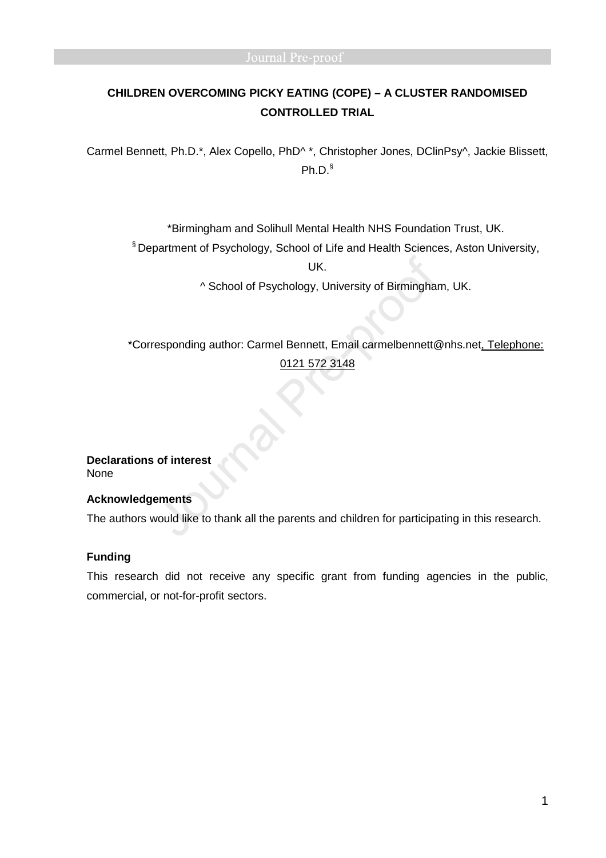# **CHILDREN OVERCOMING PICKY EATING (COPE) – A CLUSTER RANDOMISED CONTROLLED TRIAL**

Carmel Bennett, Ph.D.\*, Alex Copello, PhD^ \*, Christopher Jones, DClinPsy^, Jackie Blissett, Ph.D.§

\*Birmingham and Solihull Mental Health NHS Foundation Trust, UK.

§ Department of Psychology, School of Life and Health Sciences, Aston University,

UK.

^ School of Psychology, University of Birmingham, UK.

\*Corresponding author: Carmel Bennett, Email carmelbennett@nhs.net, Telephone: 0121 572 3148

**Declarations of interest** None

# **Acknowledgements**

The authors would like to thank all the parents and children for participating in this research.

# **Funding**

This research did not receive any specific grant from funding agencies in the public, commercial, or not-for-profit sectors.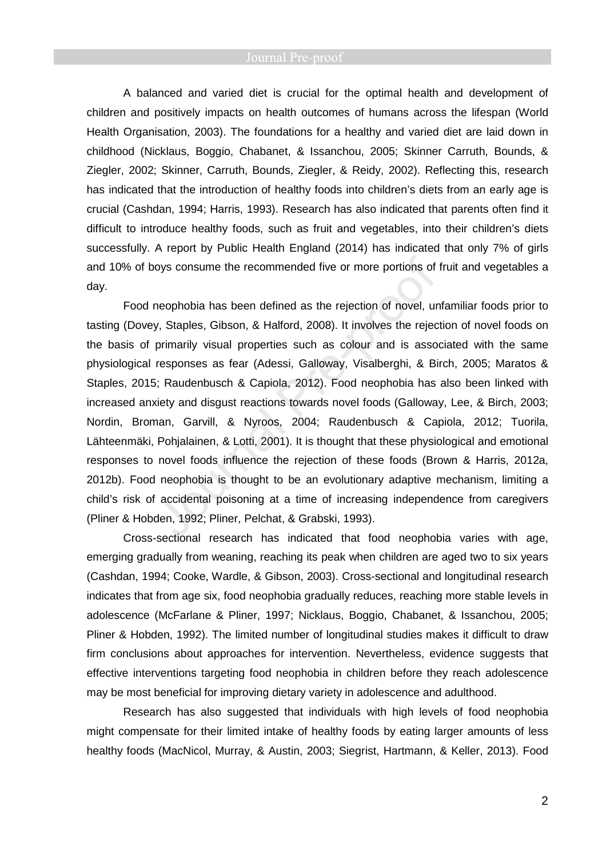A balanced and varied diet is crucial for the optimal health and development of children and positively impacts on health outcomes of humans across the lifespan (World Health Organisation, 2003). The foundations for a healthy and varied diet are laid down in childhood (Nicklaus, Boggio, Chabanet, & Issanchou, 2005; Skinner Carruth, Bounds, & Ziegler, 2002; Skinner, Carruth, Bounds, Ziegler, & Reidy, 2002). Reflecting this, research has indicated that the introduction of healthy foods into children's diets from an early age is crucial (Cashdan, 1994; Harris, 1993). Research has also indicated that parents often find it difficult to introduce healthy foods, such as fruit and vegetables, into their children's diets successfully. A report by Public Health England (2014) has indicated that only 7% of girls and 10% of boys consume the recommended five or more portions of fruit and vegetables a day.

Food neophobia has been defined as the rejection of novel, unfamiliar foods prior to tasting (Dovey, Staples, Gibson, & Halford, 2008). It involves the rejection of novel foods on the basis of primarily visual properties such as colour and is associated with the same physiological responses as fear (Adessi, Galloway, Visalberghi, & Birch, 2005; Maratos & Staples, 2015; Raudenbusch & Capiola, 2012). Food neophobia has also been linked with increased anxiety and disgust reactions towards novel foods (Galloway, Lee, & Birch, 2003; Nordin, Broman, Garvill, & Nyroos, 2004; Raudenbusch & Capiola, 2012; Tuorila, Lähteenmäki, Pohjalainen, & Lotti, 2001). It is thought that these physiological and emotional responses to novel foods influence the rejection of these foods (Brown & Harris, 2012a, 2012b). Food neophobia is thought to be an evolutionary adaptive mechanism, limiting a child's risk of accidental poisoning at a time of increasing independence from caregivers (Pliner & Hobden, 1992; Pliner, Pelchat, & Grabski, 1993).

Cross-sectional research has indicated that food neophobia varies with age, emerging gradually from weaning, reaching its peak when children are aged two to six years (Cashdan, 1994; Cooke, Wardle, & Gibson, 2003). Cross-sectional and longitudinal research indicates that from age six, food neophobia gradually reduces, reaching more stable levels in adolescence (McFarlane & Pliner, 1997; Nicklaus, Boggio, Chabanet, & Issanchou, 2005; Pliner & Hobden, 1992). The limited number of longitudinal studies makes it difficult to draw firm conclusions about approaches for intervention. Nevertheless, evidence suggests that effective interventions targeting food neophobia in children before they reach adolescence may be most beneficial for improving dietary variety in adolescence and adulthood.

Research has also suggested that individuals with high levels of food neophobia might compensate for their limited intake of healthy foods by eating larger amounts of less healthy foods (MacNicol, Murray, & Austin, 2003; Siegrist, Hartmann, & Keller, 2013). Food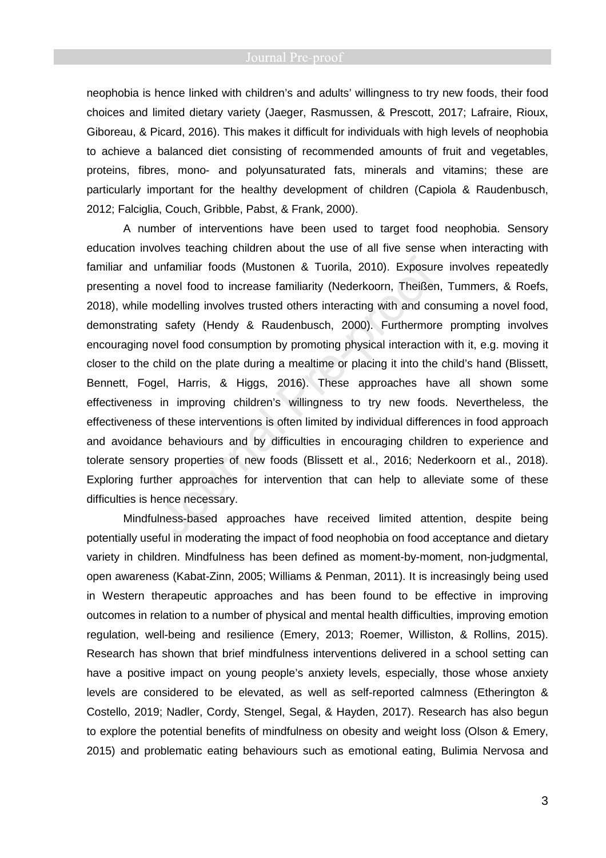neophobia is hence linked with children's and adults' willingness to try new foods, their food choices and limited dietary variety (Jaeger, Rasmussen, & Prescott, 2017; Lafraire, Rioux, Giboreau, & Picard, 2016). This makes it difficult for individuals with high levels of neophobia to achieve a balanced diet consisting of recommended amounts of fruit and vegetables, proteins, fibres, mono- and polyunsaturated fats, minerals and vitamins; these are particularly important for the healthy development of children (Capiola & Raudenbusch, 2012; Falciglia, Couch, Gribble, Pabst, & Frank, 2000).

A number of interventions have been used to target food neophobia. Sensory education involves teaching children about the use of all five sense when interacting with familiar and unfamiliar foods (Mustonen & Tuorila, 2010). Exposure involves repeatedly presenting a novel food to increase familiarity (Nederkoorn, Theißen, Tummers, & Roefs, 2018), while modelling involves trusted others interacting with and consuming a novel food, demonstrating safety (Hendy & Raudenbusch, 2000). Furthermore prompting involves encouraging novel food consumption by promoting physical interaction with it, e.g. moving it closer to the child on the plate during a mealtime or placing it into the child's hand (Blissett, Bennett, Fogel, Harris, & Higgs, 2016). These approaches have all shown some effectiveness in improving children's willingness to try new foods. Nevertheless, the effectiveness of these interventions is often limited by individual differences in food approach and avoidance behaviours and by difficulties in encouraging children to experience and tolerate sensory properties of new foods (Blissett et al., 2016; Nederkoorn et al., 2018). Exploring further approaches for intervention that can help to alleviate some of these difficulties is hence necessary.

Mindfulness-based approaches have received limited attention, despite being potentially useful in moderating the impact of food neophobia on food acceptance and dietary variety in children. Mindfulness has been defined as moment-by-moment, non-judgmental, open awareness (Kabat-Zinn, 2005; Williams & Penman, 2011). It is increasingly being used in Western therapeutic approaches and has been found to be effective in improving outcomes in relation to a number of physical and mental health difficulties, improving emotion regulation, well-being and resilience (Emery, 2013; Roemer, Williston, & Rollins, 2015). Research has shown that brief mindfulness interventions delivered in a school setting can have a positive impact on young people's anxiety levels, especially, those whose anxiety levels are considered to be elevated, as well as self-reported calmness (Etherington & Costello, 2019; Nadler, Cordy, Stengel, Segal, & Hayden, 2017). Research has also begun to explore the potential benefits of mindfulness on obesity and weight loss (Olson & Emery, 2015) and problematic eating behaviours such as emotional eating, Bulimia Nervosa and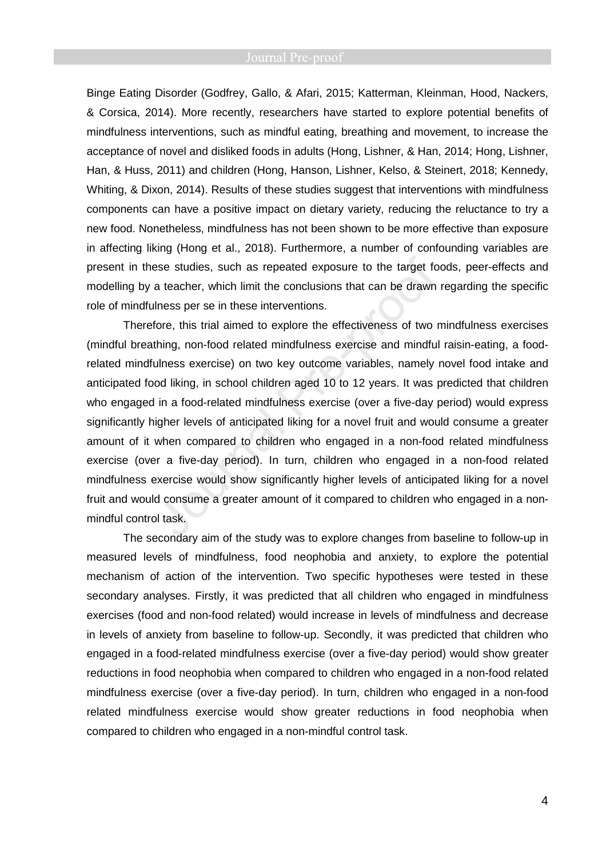Binge Eating Disorder (Godfrey, Gallo, & Afari, 2015; Katterman, Kleinman, Hood, Nackers, & Corsica, 2014). More recently, researchers have started to explore potential benefits of mindfulness interventions, such as mindful eating, breathing and movement, to increase the acceptance of novel and disliked foods in adults (Hong, Lishner, & Han, 2014; Hong, Lishner, Han, & Huss, 2011) and children (Hong, Hanson, Lishner, Kelso, & Steinert, 2018; Kennedy, Whiting, & Dixon, 2014). Results of these studies suggest that interventions with mindfulness components can have a positive impact on dietary variety, reducing the reluctance to try a new food. Nonetheless, mindfulness has not been shown to be more effective than exposure in affecting liking (Hong et al., 2018). Furthermore, a number of confounding variables are present in these studies, such as repeated exposure to the target foods, peer-effects and modelling by a teacher, which limit the conclusions that can be drawn regarding the specific role of mindfulness per se in these interventions.

Therefore, this trial aimed to explore the effectiveness of two mindfulness exercises (mindful breathing, non-food related mindfulness exercise and mindful raisin-eating, a foodrelated mindfulness exercise) on two key outcome variables, namely novel food intake and anticipated food liking, in school children aged 10 to 12 years. It was predicted that children who engaged in a food-related mindfulness exercise (over a five-day period) would express significantly higher levels of anticipated liking for a novel fruit and would consume a greater amount of it when compared to children who engaged in a non-food related mindfulness exercise (over a five-day period). In turn, children who engaged in a non-food related mindfulness exercise would show significantly higher levels of anticipated liking for a novel fruit and would consume a greater amount of it compared to children who engaged in a nonmindful control task.

The secondary aim of the study was to explore changes from baseline to follow-up in measured levels of mindfulness, food neophobia and anxiety, to explore the potential mechanism of action of the intervention. Two specific hypotheses were tested in these secondary analyses. Firstly, it was predicted that all children who engaged in mindfulness exercises (food and non-food related) would increase in levels of mindfulness and decrease in levels of anxiety from baseline to follow-up. Secondly, it was predicted that children who engaged in a food-related mindfulness exercise (over a five-day period) would show greater reductions in food neophobia when compared to children who engaged in a non-food related mindfulness exercise (over a five-day period). In turn, children who engaged in a non-food related mindfulness exercise would show greater reductions in food neophobia when compared to children who engaged in a non-mindful control task.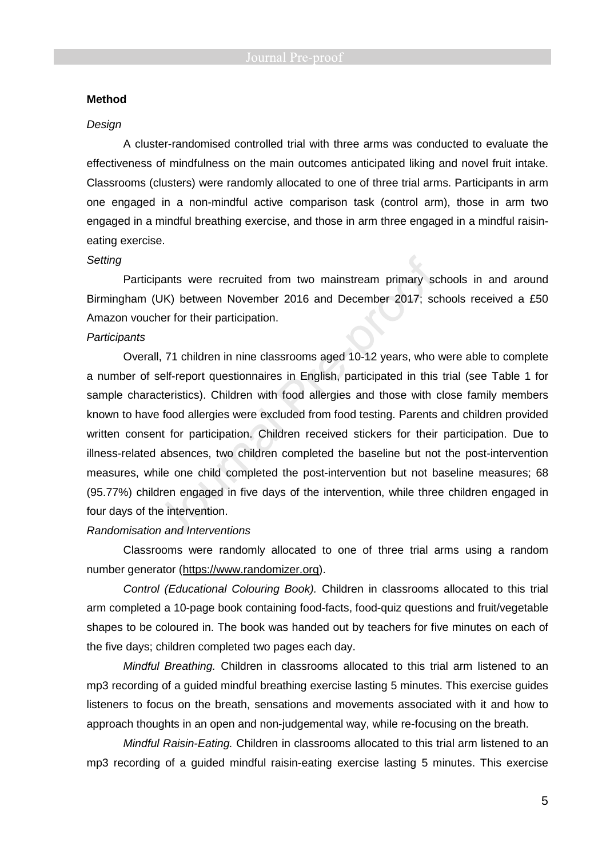## **Method**

### Design

A cluster-randomised controlled trial with three arms was conducted to evaluate the effectiveness of mindfulness on the main outcomes anticipated liking and novel fruit intake. Classrooms (clusters) were randomly allocated to one of three trial arms. Participants in arm one engaged in a non-mindful active comparison task (control arm), those in arm two engaged in a mindful breathing exercise, and those in arm three engaged in a mindful raisineating exercise.

### Setting

Participants were recruited from two mainstream primary schools in and around Birmingham (UK) between November 2016 and December 2017; schools received a £50 Amazon voucher for their participation.

## **Participants**

Overall, 71 children in nine classrooms aged 10-12 years, who were able to complete a number of self-report questionnaires in English, participated in this trial (see Table 1 for sample characteristics). Children with food allergies and those with close family members known to have food allergies were excluded from food testing. Parents and children provided written consent for participation. Children received stickers for their participation. Due to illness-related absences, two children completed the baseline but not the post-intervention measures, while one child completed the post-intervention but not baseline measures; 68 (95.77%) children engaged in five days of the intervention, while three children engaged in four days of the intervention.

# Randomisation and Interventions

Classrooms were randomly allocated to one of three trial arms using a random number generator (https://www.randomizer.org).

Control (Educational Colouring Book). Children in classrooms allocated to this trial arm completed a 10-page book containing food-facts, food-quiz questions and fruit/vegetable shapes to be coloured in. The book was handed out by teachers for five minutes on each of the five days; children completed two pages each day.

Mindful Breathing. Children in classrooms allocated to this trial arm listened to an mp3 recording of a guided mindful breathing exercise lasting 5 minutes. This exercise guides listeners to focus on the breath, sensations and movements associated with it and how to approach thoughts in an open and non-judgemental way, while re-focusing on the breath.

Mindful Raisin-Eating. Children in classrooms allocated to this trial arm listened to an mp3 recording of a guided mindful raisin-eating exercise lasting 5 minutes. This exercise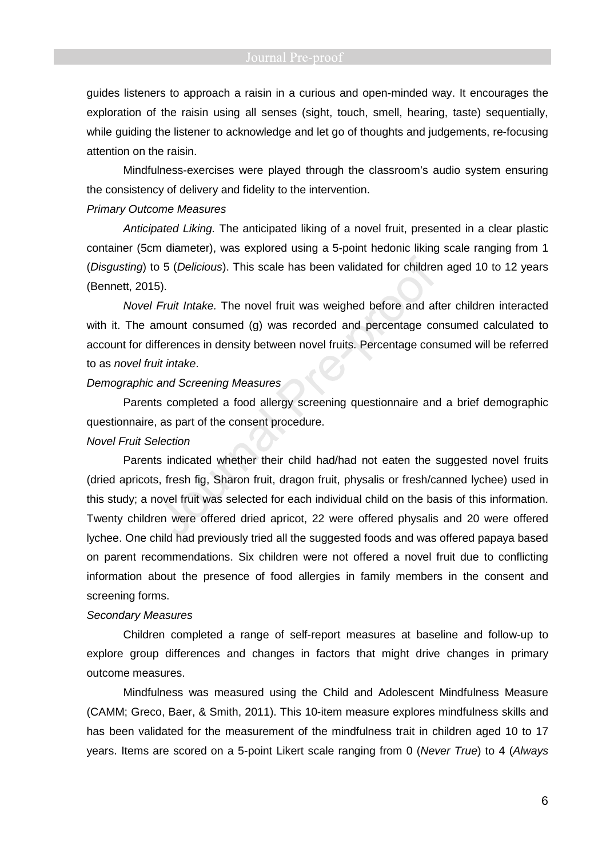guides listeners to approach a raisin in a curious and open-minded way. It encourages the exploration of the raisin using all senses (sight, touch, smell, hearing, taste) sequentially, while guiding the listener to acknowledge and let go of thoughts and judgements, re-focusing attention on the raisin.

Mindfulness-exercises were played through the classroom's audio system ensuring the consistency of delivery and fidelity to the intervention.

### Primary Outcome Measures

Anticipated Liking. The anticipated liking of a novel fruit, presented in a clear plastic container (5cm diameter), was explored using a 5-point hedonic liking scale ranging from 1 (Disgusting) to 5 (Delicious). This scale has been validated for children aged 10 to 12 years (Bennett, 2015).

Novel Fruit Intake. The novel fruit was weighed before and after children interacted with it. The amount consumed (g) was recorded and percentage consumed calculated to account for differences in density between novel fruits. Percentage consumed will be referred to as novel fruit intake.

# Demographic and Screening Measures

Parents completed a food allergy screening questionnaire and a brief demographic questionnaire, as part of the consent procedure.

# Novel Fruit Selection

Parents indicated whether their child had/had not eaten the suggested novel fruits (dried apricots, fresh fig, Sharon fruit, dragon fruit, physalis or fresh/canned lychee) used in this study; a novel fruit was selected for each individual child on the basis of this information. Twenty children were offered dried apricot, 22 were offered physalis and 20 were offered lychee. One child had previously tried all the suggested foods and was offered papaya based on parent recommendations. Six children were not offered a novel fruit due to conflicting information about the presence of food allergies in family members in the consent and screening forms.

### Secondary Measures

Children completed a range of self-report measures at baseline and follow-up to explore group differences and changes in factors that might drive changes in primary outcome measures.

Mindfulness was measured using the Child and Adolescent Mindfulness Measure (CAMM; Greco, Baer, & Smith, 2011). This 10-item measure explores mindfulness skills and has been validated for the measurement of the mindfulness trait in children aged 10 to 17 years. Items are scored on a 5-point Likert scale ranging from 0 (Never True) to 4 (Always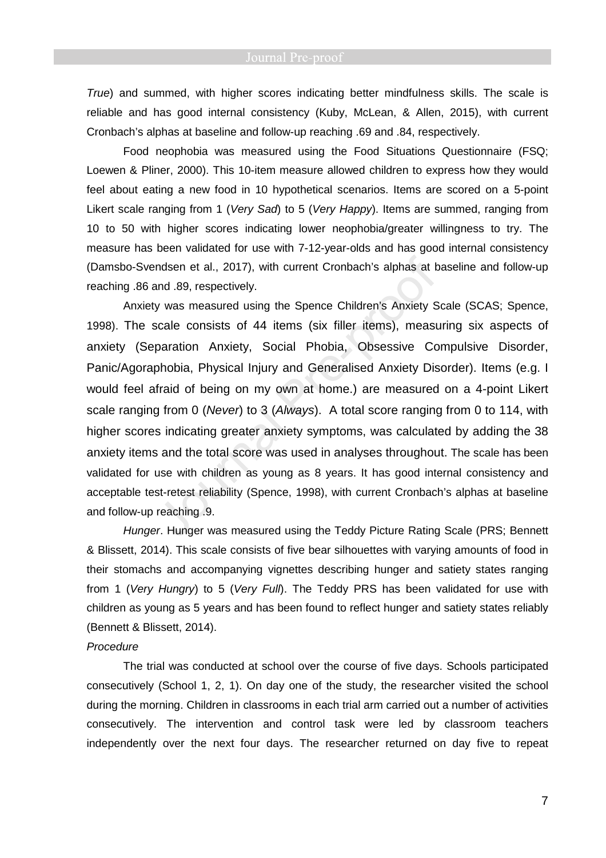True) and summed, with higher scores indicating better mindfulness skills. The scale is reliable and has good internal consistency (Kuby, McLean, & Allen, 2015), with current Cronbach's alphas at baseline and follow-up reaching .69 and .84, respectively.

Food neophobia was measured using the Food Situations Questionnaire (FSQ; Loewen & Pliner, 2000). This 10-item measure allowed children to express how they would feel about eating a new food in 10 hypothetical scenarios. Items are scored on a 5-point Likert scale ranging from 1 (Very Sad) to 5 (Very Happy). Items are summed, ranging from 10 to 50 with higher scores indicating lower neophobia/greater willingness to try. The measure has been validated for use with 7-12-year-olds and has good internal consistency (Damsbo-Svendsen et al., 2017), with current Cronbach's alphas at baseline and follow-up reaching .86 and .89, respectively.

Anxiety was measured using the Spence Children's Anxiety Scale (SCAS; Spence, 1998). The scale consists of 44 items (six filler items), measuring six aspects of anxiety (Separation Anxiety, Social Phobia, Obsessive Compulsive Disorder, Panic/Agoraphobia, Physical Injury and Generalised Anxiety Disorder). Items (e.g. I would feel afraid of being on my own at home.) are measured on a 4-point Likert scale ranging from 0 (Never) to 3 (Always). A total score ranging from 0 to 114, with higher scores indicating greater anxiety symptoms, was calculated by adding the 38 anxiety items and the total score was used in analyses throughout. The scale has been validated for use with children as young as 8 years. It has good internal consistency and acceptable test-retest reliability (Spence, 1998), with current Cronbach's alphas at baseline and follow-up reaching .9.

Hunger. Hunger was measured using the Teddy Picture Rating Scale (PRS; Bennett & Blissett, 2014). This scale consists of five bear silhouettes with varying amounts of food in their stomachs and accompanying vignettes describing hunger and satiety states ranging from 1 (Very Hungry) to 5 (Very Full). The Teddy PRS has been validated for use with children as young as 5 years and has been found to reflect hunger and satiety states reliably (Bennett & Blissett, 2014).

# Procedure

The trial was conducted at school over the course of five days. Schools participated consecutively (School 1, 2, 1). On day one of the study, the researcher visited the school during the morning. Children in classrooms in each trial arm carried out a number of activities consecutively. The intervention and control task were led by classroom teachers independently over the next four days. The researcher returned on day five to repeat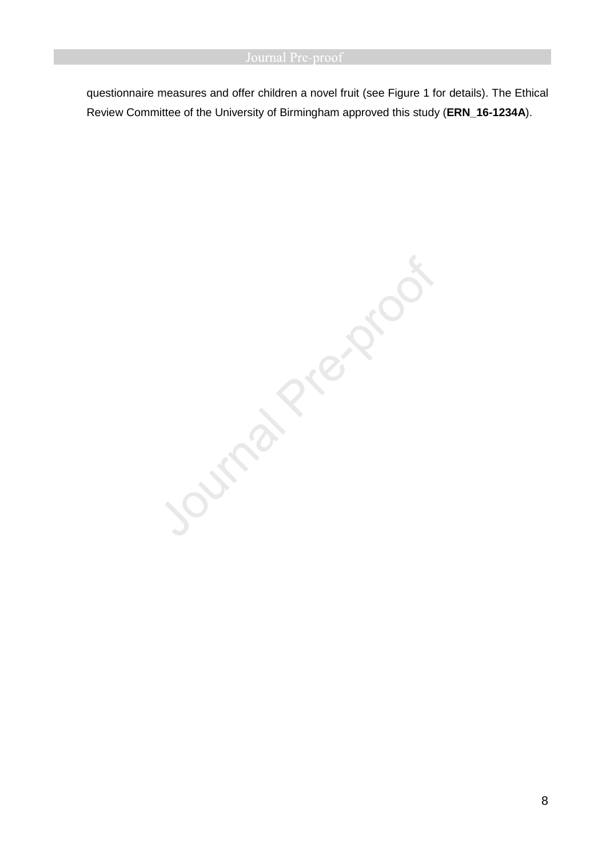questionnaire measures and offer children a novel fruit (see Figure 1 for details). The Ethical Review Committee of the University of Birmingham approved this study (**ERN\_16-1234A**).

Journal Prezencor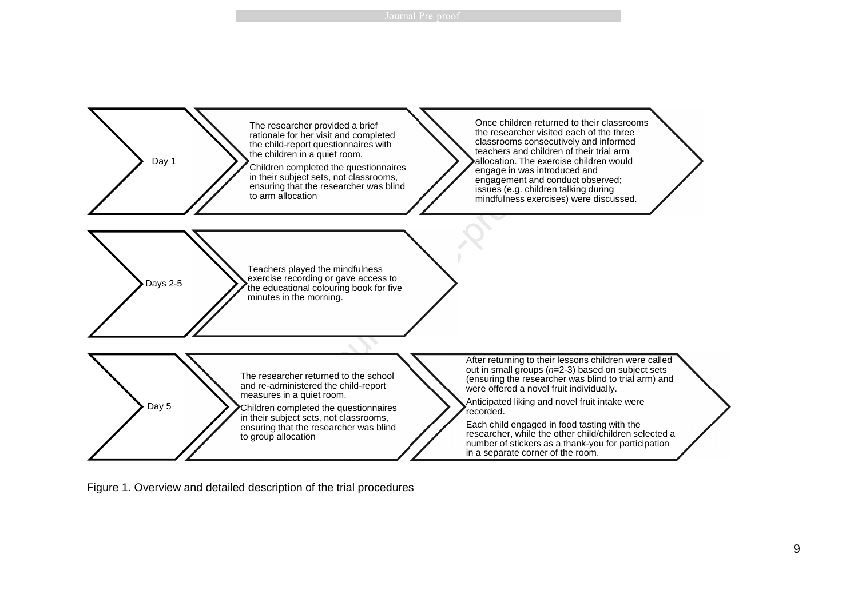

Figure 1. Overview and detailed description of the trial procedures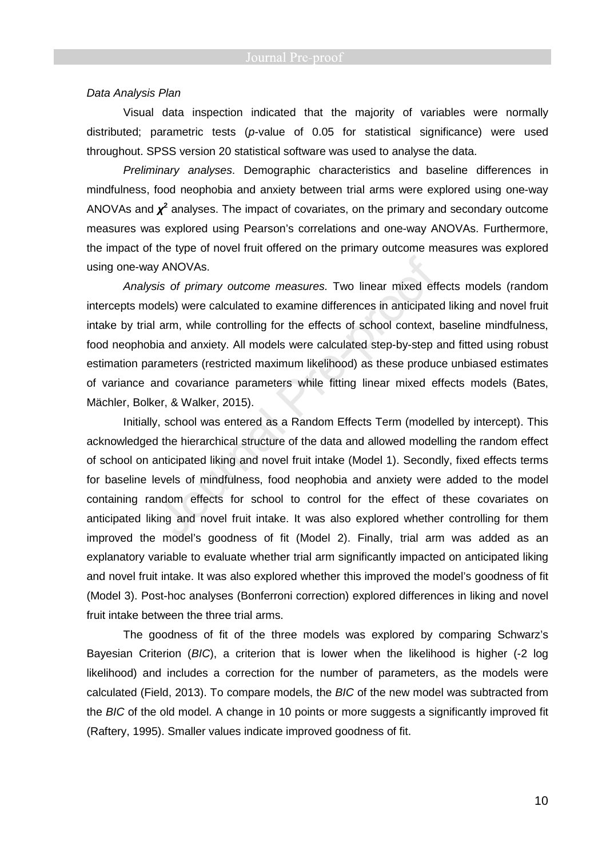### Data Analysis Plan

Visual data inspection indicated that the majority of variables were normally distributed; parametric tests ( $p$ -value of 0.05 for statistical significance) were used throughout. SPSS version 20 statistical software was used to analyse the data.

Preliminary analyses. Demographic characteristics and baseline differences in mindfulness, food neophobia and anxiety between trial arms were explored using one-way ANOVAs and  $\chi^2$  analyses. The impact of covariates, on the primary and secondary outcome measures was explored using Pearson's correlations and one-way ANOVAs. Furthermore, the impact of the type of novel fruit offered on the primary outcome measures was explored using one-way ANOVAs.

Analysis of primary outcome measures. Two linear mixed effects models (random intercepts models) were calculated to examine differences in anticipated liking and novel fruit intake by trial arm, while controlling for the effects of school context, baseline mindfulness, food neophobia and anxiety. All models were calculated step-by-step and fitted using robust estimation parameters (restricted maximum likelihood) as these produce unbiased estimates of variance and covariance parameters while fitting linear mixed effects models (Bates, Mächler, Bolker, & Walker, 2015).

Initially, school was entered as a Random Effects Term (modelled by intercept). This acknowledged the hierarchical structure of the data and allowed modelling the random effect of school on anticipated liking and novel fruit intake (Model 1). Secondly, fixed effects terms for baseline levels of mindfulness, food neophobia and anxiety were added to the model containing random effects for school to control for the effect of these covariates on anticipated liking and novel fruit intake. It was also explored whether controlling for them improved the model's goodness of fit (Model 2). Finally, trial arm was added as an explanatory variable to evaluate whether trial arm significantly impacted on anticipated liking and novel fruit intake. It was also explored whether this improved the model's goodness of fit (Model 3). Post-hoc analyses (Bonferroni correction) explored differences in liking and novel fruit intake between the three trial arms.

The goodness of fit of the three models was explored by comparing Schwarz's Bayesian Criterion (BIC), a criterion that is lower when the likelihood is higher (-2 log likelihood) and includes a correction for the number of parameters, as the models were calculated (Field, 2013). To compare models, the BIC of the new model was subtracted from the BIC of the old model. A change in 10 points or more suggests a significantly improved fit (Raftery, 1995). Smaller values indicate improved goodness of fit.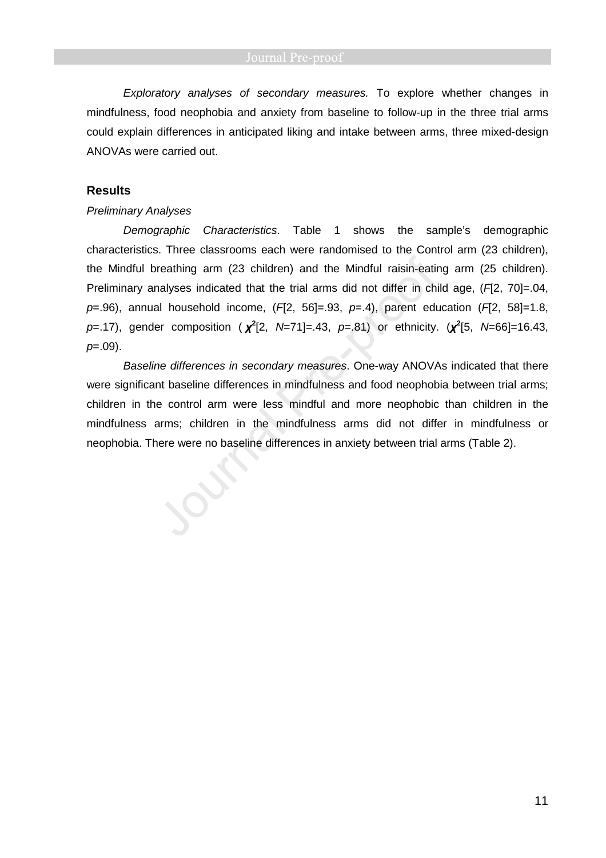Exploratory analyses of secondary measures. To explore whether changes in mindfulness, food neophobia and anxiety from baseline to follow-up in the three trial arms could explain differences in anticipated liking and intake between arms, three mixed-design ANOVAs were carried out.

# **Results**

## Preliminary Analyses

Demographic Characteristics. Table 1 shows the sample's demographic characteristics. Three classrooms each were randomised to the Control arm (23 children), the Mindful breathing arm (23 children) and the Mindful raisin-eating arm (25 children). Preliminary analyses indicated that the trial arms did not differ in child age,  $(H2, 70) = .04$ ,  $p=0.96$ ), annual household income, ( $F(72, 56]=0.93$ ,  $p=0.4$ ), parent education ( $F(72, 58)=1.8$ , p=.17), gender composition ( *χ* **2** [2, N=71]=.43, p=.81) or ethnicity. (*χ* **2** [5, N=66]=16.43,  $p=.09$ ).

Baseline differences in secondary measures. One-way ANOVAs indicated that there were significant baseline differences in mindfulness and food neophobia between trial arms; children in the control arm were less mindful and more neophobic than children in the mindfulness arms; children in the mindfulness arms did not differ in mindfulness or neophobia. There were no baseline differences in anxiety between trial arms (Table 2).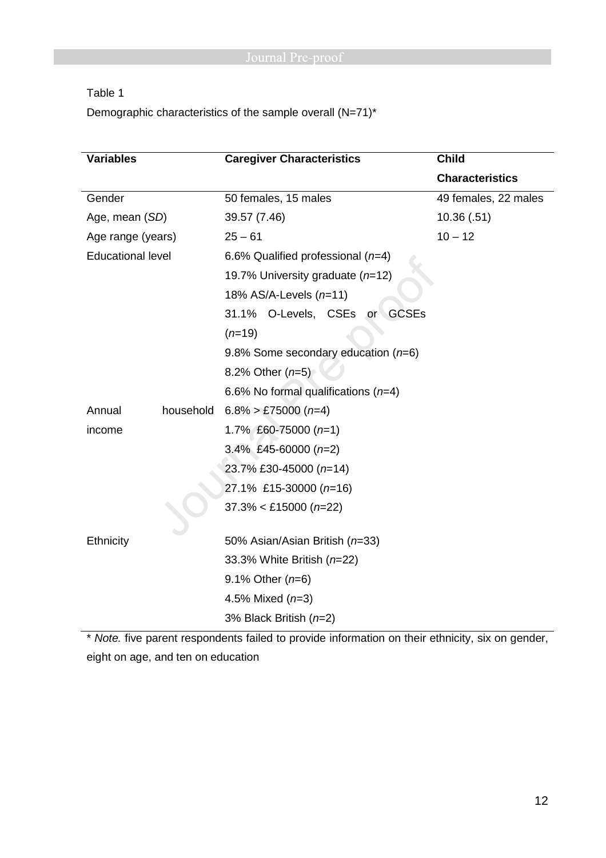Table 1

Demographic characteristics of the sample overall (N=71)\*

| <b>Variables</b>         | <b>Caregiver Characteristics</b>      | <b>Child</b>           |  |
|--------------------------|---------------------------------------|------------------------|--|
|                          |                                       | <b>Characteristics</b> |  |
| Gender                   | 50 females, 15 males                  | 49 females, 22 males   |  |
| Age, mean (SD)           | 39.57 (7.46)                          | 10.36(.51)             |  |
| Age range (years)        | $25 - 61$                             | $10 - 12$              |  |
| <b>Educational level</b> | 6.6% Qualified professional $(n=4)$   |                        |  |
|                          | 19.7% University graduate (n=12)      |                        |  |
|                          | 18% AS/A-Levels (n=11)                |                        |  |
|                          | 31.1% O-Levels, CSEs or GCSEs         |                        |  |
|                          | $(n=19)$                              |                        |  |
|                          | 9.8% Some secondary education $(n=6)$ |                        |  |
|                          | 8.2% Other $(n=5)$                    |                        |  |
|                          | 6.6% No formal qualifications $(n=4)$ |                        |  |
| Annual<br>household      | $6.8\%$ > £75000 (n=4)                |                        |  |
| income                   | 1.7% £60-75000 $(n=1)$                |                        |  |
|                          | 3.4% £45-60000 $(n=2)$                |                        |  |
|                          | 23.7% £30-45000 (n=14)                |                        |  |
|                          | 27.1% £15-30000 (n=16)                |                        |  |
|                          | $37.3\% <$ £15000 (n=22)              |                        |  |
|                          |                                       |                        |  |
| Ethnicity                | 50% Asian/Asian British (n=33)        |                        |  |
|                          | 33.3% White British (n=22)            |                        |  |
|                          | 9.1% Other $(n=6)$                    |                        |  |
|                          | 4.5% Mixed $(n=3)$                    |                        |  |
|                          | 3% Black British $(n=2)$              |                        |  |

\* Note. five parent respondents failed to provide information on their ethnicity, six on gender, eight on age, and ten on education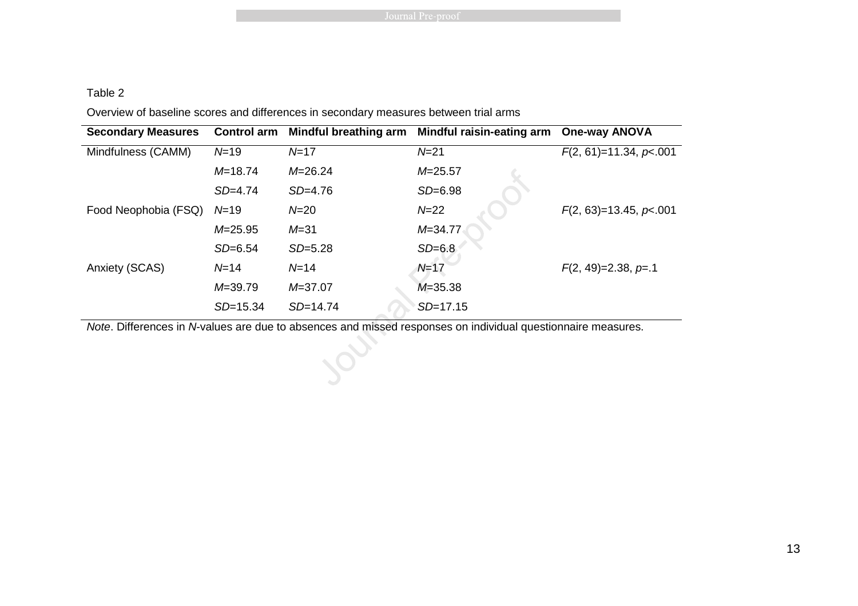# Table 2

Overview of baseline scores and differences in secondary measures between trial arms

| <b>Secondary Measures</b> | <b>Control arm</b> | Mindful breathing arm | <b>Mindful raisin-eating arm</b> | <b>One-way ANOVA</b>     |
|---------------------------|--------------------|-----------------------|----------------------------------|--------------------------|
| Mindfulness (CAMM)        | N=19               | $N = 17$              | $N = 21$                         | $F(2, 61)=11.34, p<.001$ |
|                           | $M = 18.74$        | $M = 26.24$           | $M = 25.57$                      |                          |
|                           | $SD = 4.74$        | $SD=4.76$             | $SD=6.98$                        |                          |
| Food Neophobia (FSQ)      | $N=19$             | $N=20$                | $N = 22$                         | $F(2, 63)=13.45, p<.001$ |
|                           | $M = 25.95$        | $M = 31$              | $M = 34.77$                      |                          |
|                           | $SD=6.54$          | $SD = 5.28$           | $SD=6.8$                         |                          |
| Anxiety (SCAS)            | $N = 14$           | $N = 14$              | $N=17$                           | $F(2, 49)=2.38, p=.1$    |
|                           | $M = 39.79$        | $M = 37.07$           | $M = 35.38$                      |                          |
|                           | $SD = 15.34$       | $SD = 14.74$          | $SD = 17.15$                     |                          |

Note. Differences in N-values are due to absences and missed responses on individual questionnaire measures.

 $\mathcal{S}$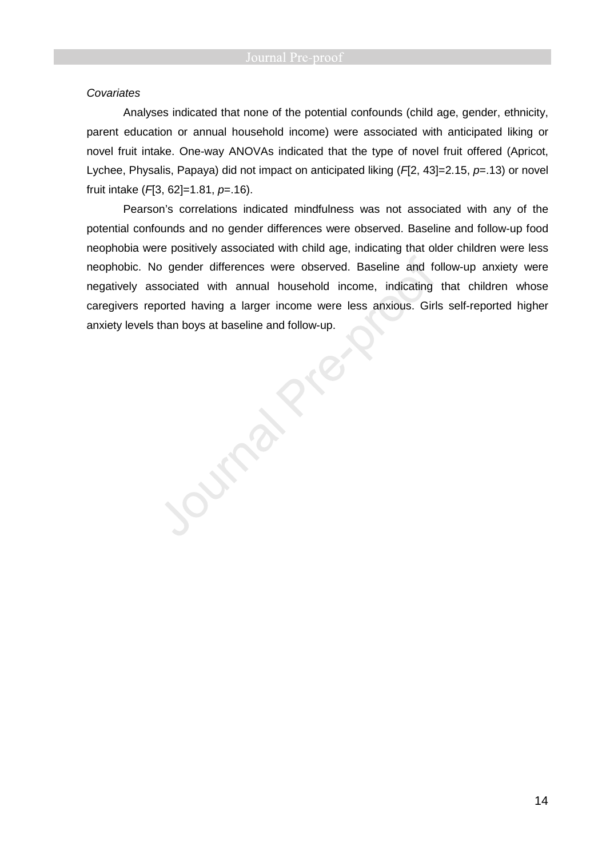### **Covariates**

Analyses indicated that none of the potential confounds (child age, gender, ethnicity, parent education or annual household income) were associated with anticipated liking or novel fruit intake. One-way ANOVAs indicated that the type of novel fruit offered (Apricot, Lychee, Physalis, Papaya) did not impact on anticipated liking  $(H2, 43]=2.15$ ,  $p=.13$ ) or novel fruit intake  $(H3, 62]=1.81, p=.16$ .

Pearson's correlations indicated mindfulness was not associated with any of the potential confounds and no gender differences were observed. Baseline and follow-up food neophobia were positively associated with child age, indicating that older children were less neophobic. No gender differences were observed. Baseline and follow-up anxiety were negatively associated with annual household income, indicating that children whose caregivers reported having a larger income were less anxious. Girls self-reported higher anxiety levels than boys at baseline and follow-up.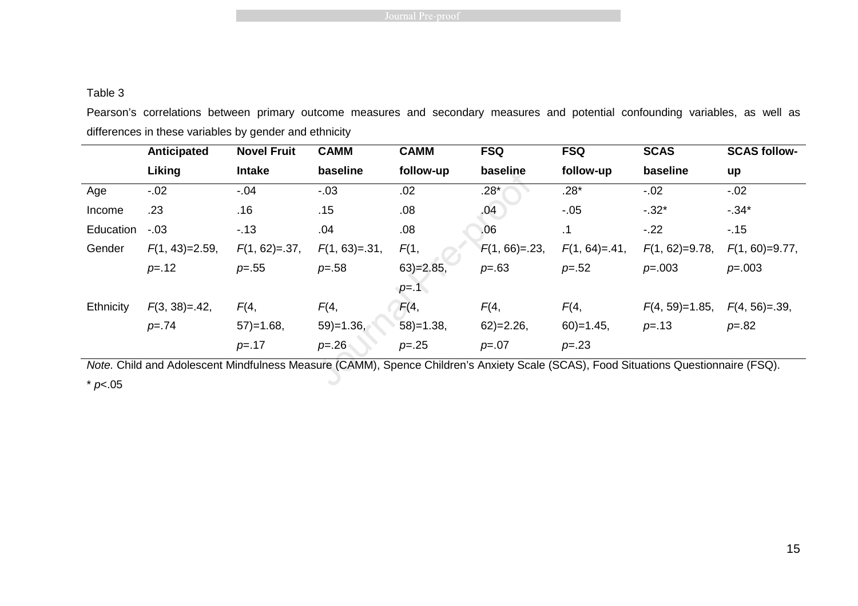# Table 3

Pearson's correlations between primary outcome measures and secondary measures and potential confounding variables, as well as differences in these variables by gender and ethnicity

|           | Anticipated       | <b>Novel Fruit</b> | <b>CAMM</b>       | <b>CAMM</b>  | <b>FSQ</b>      | <b>FSQ</b>        | <b>SCAS</b>       | <b>SCAS follow-</b> |
|-----------|-------------------|--------------------|-------------------|--------------|-----------------|-------------------|-------------------|---------------------|
|           | Liking            | <b>Intake</b>      | baseline          | follow-up    | baseline        | follow-up         | baseline          | up                  |
| Age       | $-.02$            | $-.04$             | $-.03$            | .02          | $.28*$          | $.28*$            | $-.02$            | $-.02$              |
| Income    | .23               | .16                | .15               | .08          | .04             | $-.05$            | $-.32*$           | $-0.34*$            |
| Education | $-.03$            | $-13$              | .04               | .08          | .06             | .1                | $-.22$            | $-15$               |
| Gender    | $F(1, 43)=2.59$ , | $F(1, 62) = .37$ , | $F(1, 63) = .31,$ | F(1,         | $F(1, 66) = 23$ | $F(1, 64) = .41,$ | $F(1, 62)=9.78$ , | $F(1, 60)=9.77$ ,   |
|           | $p = .12$         | $p = .55$          | $p = .58$         | $63$ =2.85,  | $p = .63$       | $p = .52$         | $p = 0.003$       | $p = 0.003$         |
|           |                   |                    |                   | $p = 1$      |                 |                   |                   |                     |
| Ethnicity | $F(3, 38)=.42,$   | F(4,               | F(4,              | F(4,         | F(4,            | F(4,              | $F(4, 59)=1.85$ , | $F(4, 56) = .39$    |
|           | $p = 74$          | $57) = 1.68$       | $59$ =1.36,       | $58$ )=1.38, | $62$ =2.26,     | $60$ )=1.45,      | $p = .13$         | $p = 82$            |
|           |                   | $p = 17$           | $p = 26$          | $p = 0.25$   | $p=.07$         | $p = 0.23$        |                   |                     |

Note. Child and Adolescent Mindfulness Measure (CAMM), Spence Children's Anxiety Scale (SCAS), Food Situations Questionnaire (FSQ).  $*$  p <.05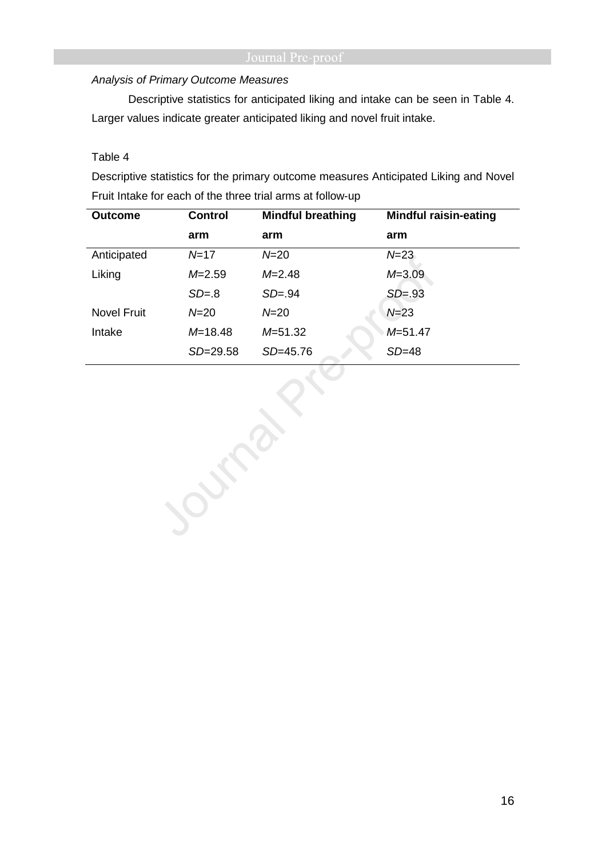# Analysis of Primary Outcome Measures

Descriptive statistics for anticipated liking and intake can be seen in Table 4. Larger values indicate greater anticipated liking and novel fruit intake.

# Table 4

Descriptive statistics for the primary outcome measures Anticipated Liking and Novel Fruit Intake for each of the three trial arms at follow-up

| <b>Outcome</b>     | <b>Control</b> | <b>Mindful breathing</b> | <b>Mindful raisin-eating</b> |
|--------------------|----------------|--------------------------|------------------------------|
|                    | arm            | arm                      | arm                          |
| Anticipated        | $N = 17$       | $N = 20$                 | $N = 23$                     |
| Liking             | $M = 2.59$     | $M = 2.48$               | $M = 3.09$                   |
|                    | $SD = 8$       | $SD = .94$               | $SD = .93$                   |
| <b>Novel Fruit</b> | $N = 20$       | $N = 20$                 | $N = 23$                     |
| Intake             | $M = 18.48$    | M=51.32                  | $M = 51.47$                  |
|                    | $SD = 29.58$   | SD=45.76                 | $SD=48$                      |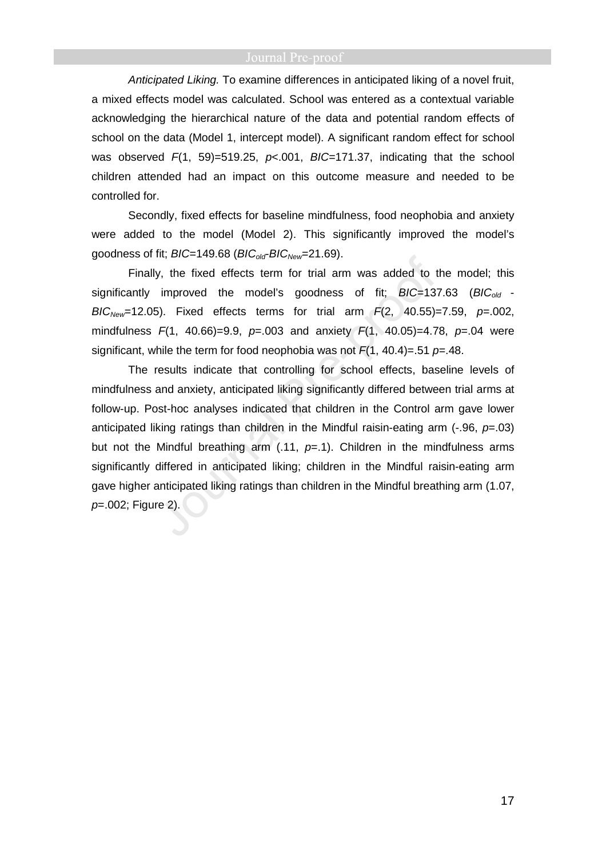Anticipated Liking. To examine differences in anticipated liking of a novel fruit, a mixed effects model was calculated. School was entered as a contextual variable acknowledging the hierarchical nature of the data and potential random effects of school on the data (Model 1, intercept model). A significant random effect for school was observed  $F(1, 59) = 519.25$ ,  $p < .001$ ,  $B/C=171.37$ , indicating that the school children attended had an impact on this outcome measure and needed to be controlled for.

Secondly, fixed effects for baseline mindfulness, food neophobia and anxiety were added to the model (Model 2). This significantly improved the model's goodness of fit;  $BIC=149.68$  ( $BIC_{old}$ - $BIC_{New}=21.69$ ).

Finally, the fixed effects term for trial arm was added to the model; this significantly improved the model's goodness of fit;  $BIC=137.63$  ( $BIC_{old}$  - $BIC_{New}=12.05$ ). Fixed effects terms for trial arm  $F(2, 40.55)=7.59$ ,  $p=.002$ , mindfulness  $F(1, 40.66) = 9.9$ ,  $p = .003$  and anxiety  $F(1, 40.05) = 4.78$ ,  $p = .04$  were significant, while the term for food neophobia was not  $F(1, 40.4) = .51$  p=.48.

The results indicate that controlling for school effects, baseline levels of mindfulness and anxiety, anticipated liking significantly differed between trial arms at follow-up. Post-hoc analyses indicated that children in the Control arm gave lower anticipated liking ratings than children in the Mindful raisin-eating arm  $(-.96, p=.03)$ but not the Mindful breathing arm (.11,  $p=1$ ). Children in the mindfulness arms significantly differed in anticipated liking; children in the Mindful raisin-eating arm gave higher anticipated liking ratings than children in the Mindful breathing arm (1.07, p=.002; Figure 2).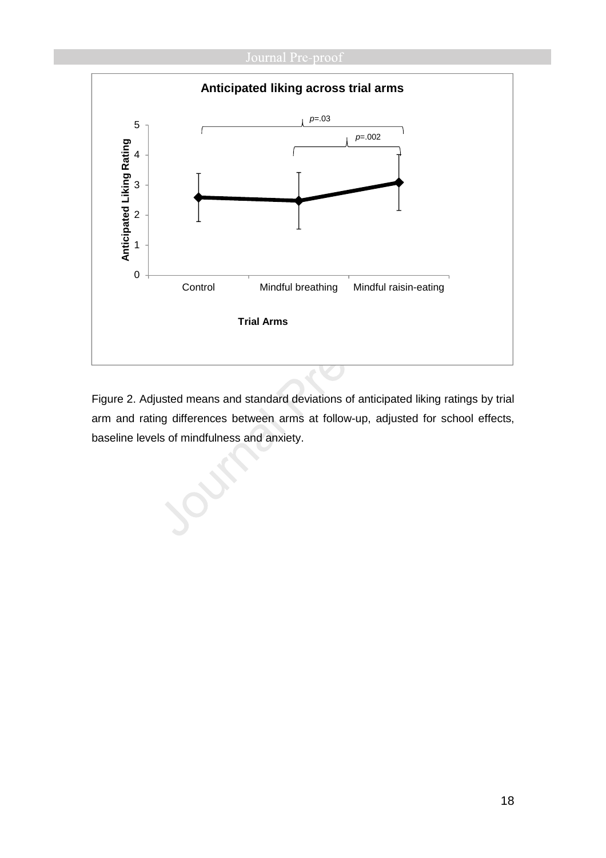# Journal Pre-proof



Figure 2. Adjusted means and standard deviations of anticipated liking ratings by trial arm and rating differences between arms at follow-up, adjusted for school effects, baseline levels of mindfulness and anxiety.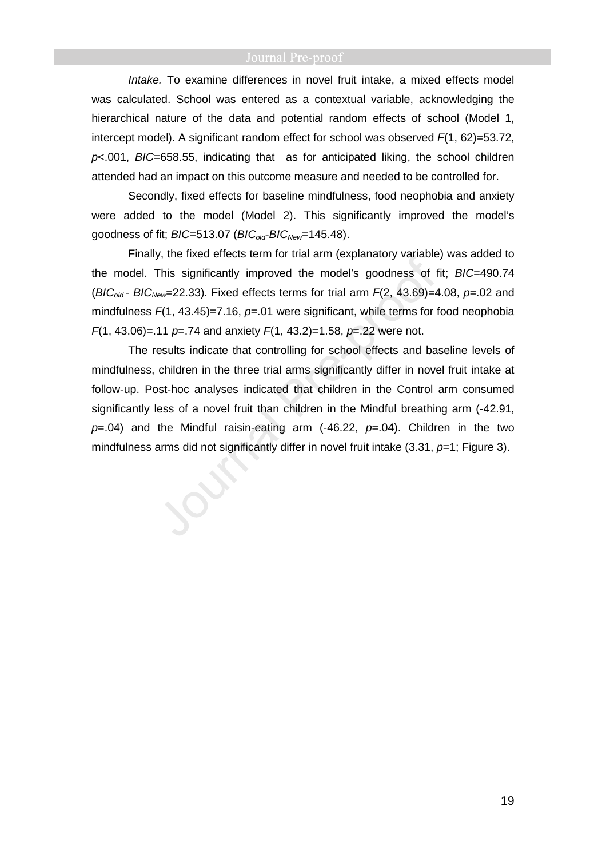Intake. To examine differences in novel fruit intake, a mixed effects model was calculated. School was entered as a contextual variable, acknowledging the hierarchical nature of the data and potential random effects of school (Model 1, intercept model). A significant random effect for school was observed  $F(1, 62) = 53.72$ ,  $p$  < 001, BIC=658.55, indicating that as for anticipated liking, the school children attended had an impact on this outcome measure and needed to be controlled for.

Secondly, fixed effects for baseline mindfulness, food neophobia and anxiety were added to the model (Model 2). This significantly improved the model's goodness of fit;  $BIC = 513.07$  ( $BIC_{old}$ -BIC<sub>New</sub>=145.48).

Finally, the fixed effects term for trial arm (explanatory variable) was added to the model. This significantly improved the model's goodness of fit; BIC=490.74 (BIC<sub>old</sub> - BIC<sub>New</sub>=22.33). Fixed effects terms for trial arm  $F(2, 43.69)$ =4.08, p=.02 and mindfulness  $F(1, 43.45)=7.16$ ,  $p=.01$  were significant, while terms for food neophobia  $F(1, 43.06) = 11 \text{ p} = 74$  and anxiety  $F(1, 43.2) = 1.58$ ,  $p = 22$  were not.

The results indicate that controlling for school effects and baseline levels of mindfulness, children in the three trial arms significantly differ in novel fruit intake at follow-up. Post-hoc analyses indicated that children in the Control arm consumed significantly less of a novel fruit than children in the Mindful breathing arm (-42.91,  $p=0.04$ ) and the Mindful raisin-eating arm (-46.22,  $p=0.04$ ). Children in the two mindfulness arms did not significantly differ in novel fruit intake  $(3.31, p=1;$  Figure 3).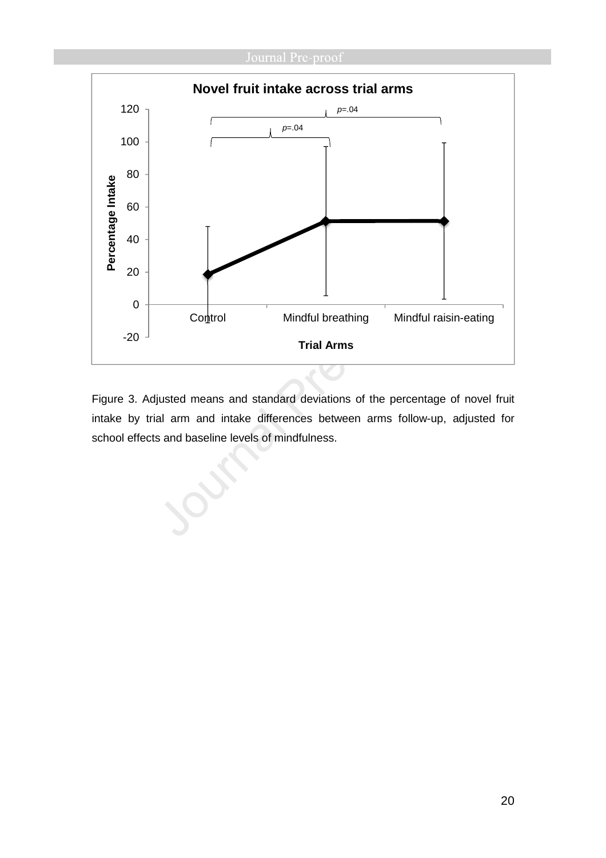

Figure 3. Adjusted means and standard deviations of the percentage of novel fruit intake by trial arm and intake differences between arms follow-up, adjusted for school effects and baseline levels of mindfulness.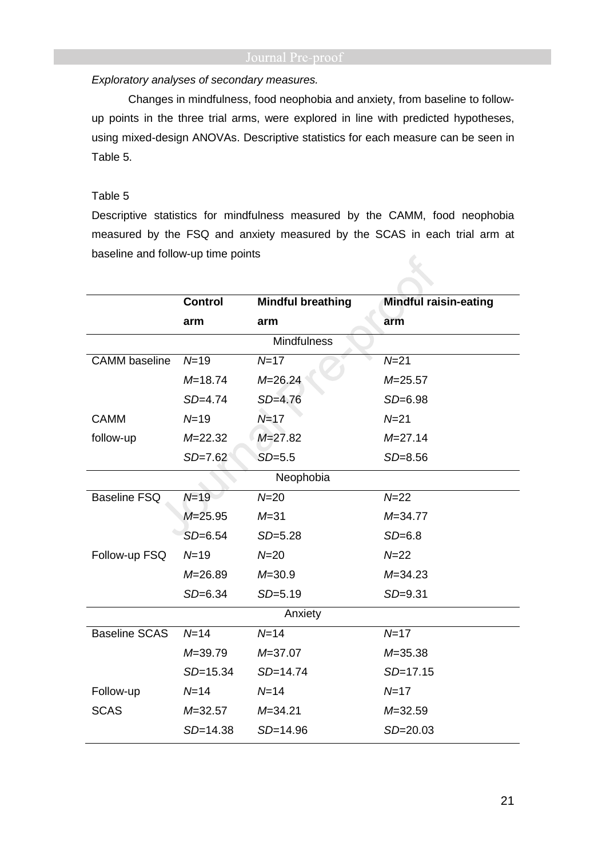# Exploratory analyses of secondary measures.

Changes in mindfulness, food neophobia and anxiety, from baseline to followup points in the three trial arms, were explored in line with predicted hypotheses, using mixed-design ANOVAs. Descriptive statistics for each measure can be seen in Table 5.

# Table 5

Descriptive statistics for mindfulness measured by the CAMM, food neophobia measured by the FSQ and anxiety measured by the SCAS in each trial arm at baseline and follow-up time points

|                      | <b>Control</b> | <b>Mindful breathing</b> | <b>Mindful raisin-eating</b> |  |  |
|----------------------|----------------|--------------------------|------------------------------|--|--|
|                      | arm            | arm                      | arm                          |  |  |
|                      |                | <b>Mindfulness</b>       |                              |  |  |
| <b>CAMM</b> baseline | $N=19$         | $N = 17$                 | $N = 21$                     |  |  |
|                      | $M = 18.74$    | $M = 26.24$              | $M = 25.57$                  |  |  |
|                      | $SD=4.74$      | $SD=4.76$                | $SD=6.98$                    |  |  |
| <b>CAMM</b>          | $N = 19$       | $N=17$                   | $N = 21$                     |  |  |
| follow-up            | $M = 22.32$    | $M = 27.82$              | $M = 27.14$                  |  |  |
|                      | $SD=7.62$      | $SD = 5.5$               | $SD = 8.56$                  |  |  |
|                      |                | Neophobia                |                              |  |  |
| <b>Baseline FSQ</b>  | $N=19$         | $N = 20$                 | $N = 22$                     |  |  |
|                      | $M = 25.95$    | $M = 31$                 | $M = 34.77$                  |  |  |
|                      | $SD=6.54$      | $SD=5.28$                | $SD=6.8$                     |  |  |
| Follow-up FSQ        | $N = 19$       | $N = 20$                 | $N = 22$                     |  |  |
|                      | $M = 26.89$    | $M = 30.9$               | $M = 34.23$                  |  |  |
|                      | $SD=6.34$      | $SD=5.19$                | $SD = 9.31$                  |  |  |
| Anxiety              |                |                          |                              |  |  |
| <b>Baseline SCAS</b> | $N=14$         | $N = 14$                 | $N = 17$                     |  |  |
|                      | $M = 39.79$    | $M = 37.07$              | $M = 35.38$                  |  |  |
|                      | $SD = 15.34$   | $SD = 14.74$             | $SD = 17.15$                 |  |  |
| Follow-up            | $N = 14$       | $N = 14$                 | $N = 17$                     |  |  |
| <b>SCAS</b>          | $M = 32.57$    | $M = 34.21$              | $M = 32.59$                  |  |  |
|                      | $SD = 14.38$   | $SD = 14.96$             | $SD = 20.03$                 |  |  |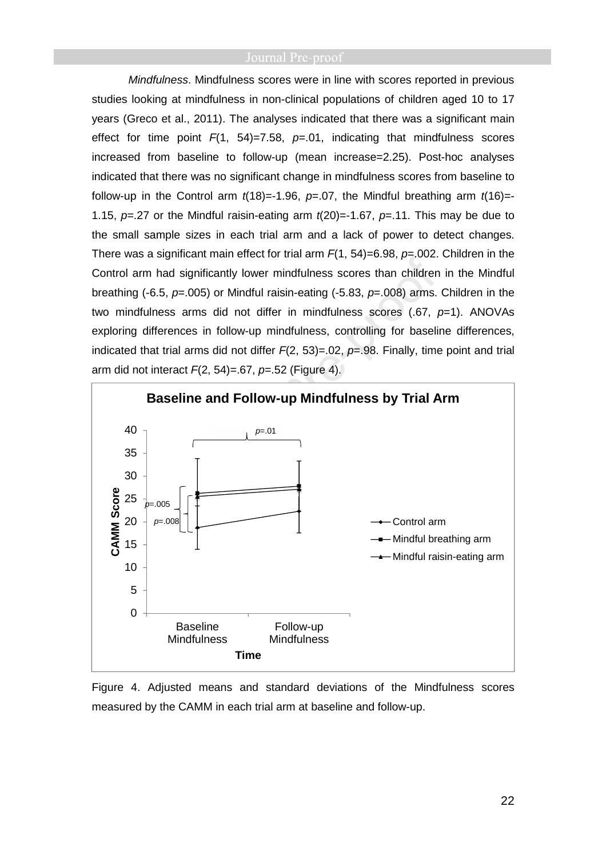Mindfulness. Mindfulness scores were in line with scores reported in previous studies looking at mindfulness in non-clinical populations of children aged 10 to 17 years (Greco et al., 2011). The analyses indicated that there was a significant main effect for time point  $F(1, 54)=7.58$ ,  $p=.01$ , indicating that mindfulness scores increased from baseline to follow-up (mean increase=2.25). Post-hoc analyses indicated that there was no significant change in mindfulness scores from baseline to follow-up in the Control arm  $t(18) = -1.96$ ,  $p = .07$ , the Mindful breathing arm  $t(16) = -1.96$ 1.15,  $p=27$  or the Mindful raisin-eating arm  $t(20)=1.67$ ,  $p=.11$ . This may be due to the small sample sizes in each trial arm and a lack of power to detect changes. There was a significant main effect for trial arm  $F(1, 54) = 6.98$ ,  $p = .002$ . Children in the Control arm had significantly lower mindfulness scores than children in the Mindful breathing (-6.5,  $p=0.005$ ) or Mindful raisin-eating (-5.83,  $p=.008$ ) arms. Children in the two mindfulness arms did not differ in mindfulness scores  $(.67, p=1)$ . ANOVAs exploring differences in follow-up mindfulness, controlling for baseline differences, indicated that trial arms did not differ  $F(2, 53) = .02$ ,  $p = .98$ . Finally, time point and trial arm did not interact  $F(2, 54) = .67$ ,  $p = .52$  (Figure 4).



Figure 4. Adjusted means and standard deviations of the Mindfulness scores measured by the CAMM in each trial arm at baseline and follow-up.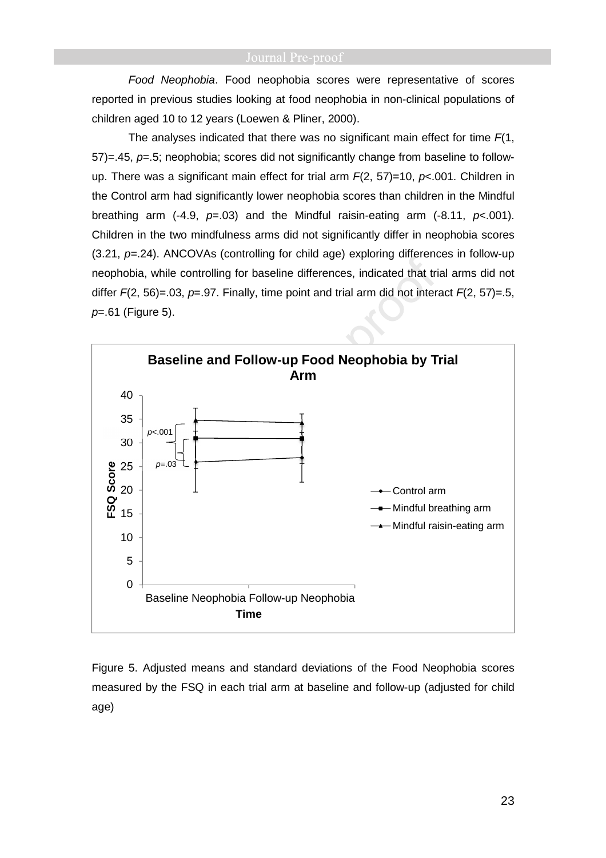Food Neophobia. Food neophobia scores were representative of scores reported in previous studies looking at food neophobia in non-clinical populations of children aged 10 to 12 years (Loewen & Pliner, 2000).

The analyses indicated that there was no significant main effect for time  $F(1)$ ,  $57$ )=.45,  $p$ =.5; neophobia; scores did not significantly change from baseline to followup. There was a significant main effect for trial arm  $F(2, 57)=10$ ,  $p<0.001$ . Children in the Control arm had significantly lower neophobia scores than children in the Mindful breathing arm (-4.9,  $p=0.03$ ) and the Mindful raisin-eating arm (-8.11,  $p<0.01$ ). Children in the two mindfulness arms did not significantly differ in neophobia scores  $(3.21, p=.24)$ . ANCOVAs (controlling for child age) exploring differences in follow-up neophobia, while controlling for baseline differences, indicated that trial arms did not differ  $F(2, 56) = .03$ ,  $p = .97$ . Finally, time point and trial arm did not interact  $F(2, 57) = .5$ ,  $p=61$  (Figure 5).



Figure 5. Adjusted means and standard deviations of the Food Neophobia scores measured by the FSQ in each trial arm at baseline and follow-up (adjusted for child age)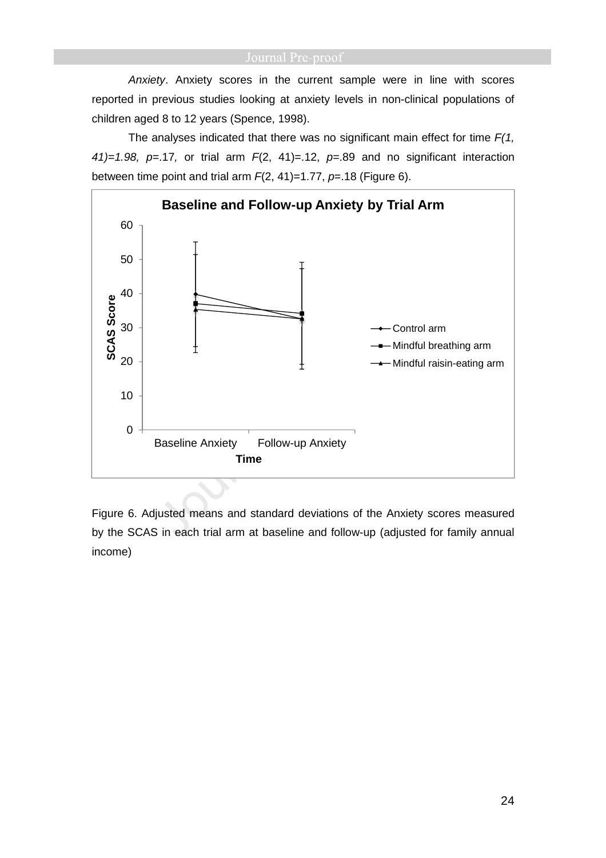Anxiety. Anxiety scores in the current sample were in line with scores reported in previous studies looking at anxiety levels in non-clinical populations of children aged 8 to 12 years (Spence, 1998).

The analyses indicated that there was no significant main effect for time  $F(1, 1)$ 41)=1.98, p=.17, or trial arm  $F(2, 41)$ =.12, p=.89 and no significant interaction between time point and trial arm  $F(2, 41)=1.77$ ,  $p=.18$  (Figure 6).



Figure 6. Adjusted means and standard deviations of the Anxiety scores measured by the SCAS in each trial arm at baseline and follow-up (adjusted for family annual income)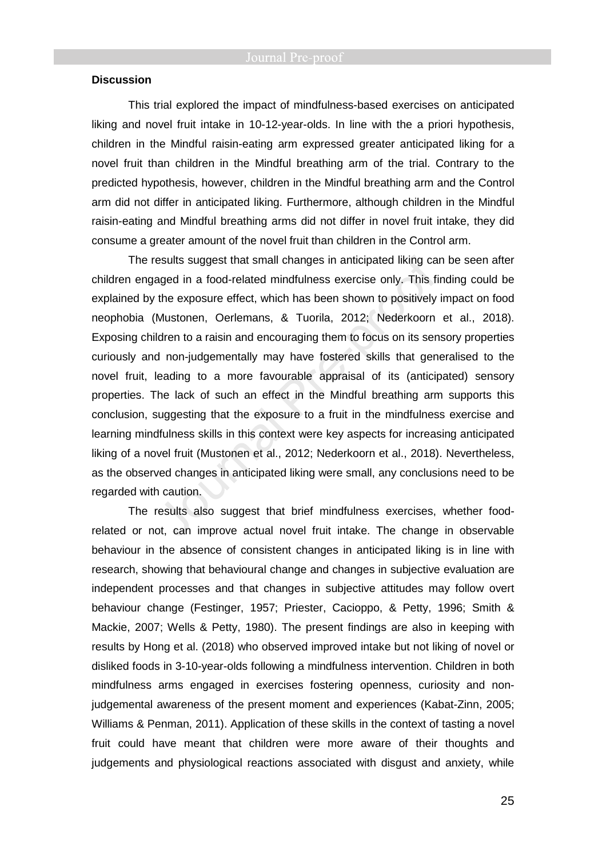## **Discussion**

This trial explored the impact of mindfulness-based exercises on anticipated liking and novel fruit intake in 10-12-year-olds. In line with the a priori hypothesis, children in the Mindful raisin-eating arm expressed greater anticipated liking for a novel fruit than children in the Mindful breathing arm of the trial. Contrary to the predicted hypothesis, however, children in the Mindful breathing arm and the Control arm did not differ in anticipated liking. Furthermore, although children in the Mindful raisin-eating and Mindful breathing arms did not differ in novel fruit intake, they did consume a greater amount of the novel fruit than children in the Control arm.

The results suggest that small changes in anticipated liking can be seen after children engaged in a food-related mindfulness exercise only. This finding could be explained by the exposure effect, which has been shown to positively impact on food neophobia (Mustonen, Oerlemans, & Tuorila, 2012; Nederkoorn et al., 2018). Exposing children to a raisin and encouraging them to focus on its sensory properties curiously and non-judgementally may have fostered skills that generalised to the novel fruit, leading to a more favourable appraisal of its (anticipated) sensory properties. The lack of such an effect in the Mindful breathing arm supports this conclusion, suggesting that the exposure to a fruit in the mindfulness exercise and learning mindfulness skills in this context were key aspects for increasing anticipated liking of a novel fruit (Mustonen et al., 2012; Nederkoorn et al., 2018). Nevertheless, as the observed changes in anticipated liking were small, any conclusions need to be regarded with caution.

The results also suggest that brief mindfulness exercises, whether foodrelated or not, can improve actual novel fruit intake. The change in observable behaviour in the absence of consistent changes in anticipated liking is in line with research, showing that behavioural change and changes in subjective evaluation are independent processes and that changes in subjective attitudes may follow overt behaviour change (Festinger, 1957; Priester, Cacioppo, & Petty, 1996; Smith & Mackie, 2007; Wells & Petty, 1980). The present findings are also in keeping with results by Hong et al. (2018) who observed improved intake but not liking of novel or disliked foods in 3-10-year-olds following a mindfulness intervention. Children in both mindfulness arms engaged in exercises fostering openness, curiosity and nonjudgemental awareness of the present moment and experiences (Kabat-Zinn, 2005; Williams & Penman, 2011). Application of these skills in the context of tasting a novel fruit could have meant that children were more aware of their thoughts and judgements and physiological reactions associated with disgust and anxiety, while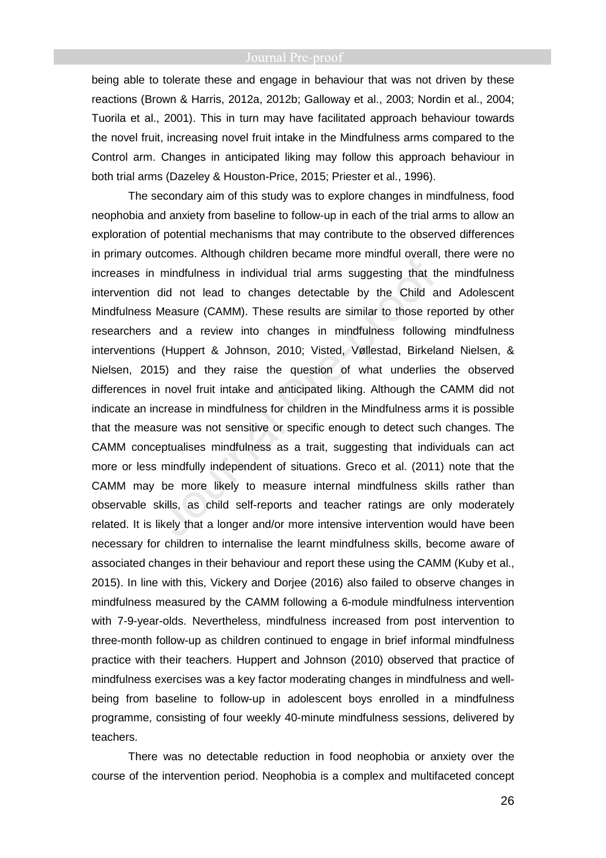being able to tolerate these and engage in behaviour that was not driven by these reactions (Brown & Harris, 2012a, 2012b; Galloway et al., 2003; Nordin et al., 2004; Tuorila et al., 2001). This in turn may have facilitated approach behaviour towards the novel fruit, increasing novel fruit intake in the Mindfulness arms compared to the Control arm. Changes in anticipated liking may follow this approach behaviour in both trial arms (Dazeley & Houston-Price, 2015; Priester et al., 1996).

The secondary aim of this study was to explore changes in mindfulness, food neophobia and anxiety from baseline to follow-up in each of the trial arms to allow an exploration of potential mechanisms that may contribute to the observed differences in primary outcomes. Although children became more mindful overall, there were no increases in mindfulness in individual trial arms suggesting that the mindfulness intervention did not lead to changes detectable by the Child and Adolescent Mindfulness Measure (CAMM). These results are similar to those reported by other researchers and a review into changes in mindfulness following mindfulness interventions (Huppert & Johnson, 2010; Visted, Vøllestad, Birkeland Nielsen, & Nielsen, 2015) and they raise the question of what underlies the observed differences in novel fruit intake and anticipated liking. Although the CAMM did not indicate an increase in mindfulness for children in the Mindfulness arms it is possible that the measure was not sensitive or specific enough to detect such changes. The CAMM conceptualises mindfulness as a trait, suggesting that individuals can act more or less mindfully independent of situations. Greco et al. (2011) note that the CAMM may be more likely to measure internal mindfulness skills rather than observable skills, as child self-reports and teacher ratings are only moderately related. It is likely that a longer and/or more intensive intervention would have been necessary for children to internalise the learnt mindfulness skills, become aware of associated changes in their behaviour and report these using the CAMM (Kuby et al., 2015). In line with this, Vickery and Dorjee (2016) also failed to observe changes in mindfulness measured by the CAMM following a 6-module mindfulness intervention with 7-9-year-olds. Nevertheless, mindfulness increased from post intervention to three-month follow-up as children continued to engage in brief informal mindfulness practice with their teachers. Huppert and Johnson (2010) observed that practice of mindfulness exercises was a key factor moderating changes in mindfulness and wellbeing from baseline to follow-up in adolescent boys enrolled in a mindfulness programme, consisting of four weekly 40-minute mindfulness sessions, delivered by teachers.

There was no detectable reduction in food neophobia or anxiety over the course of the intervention period. Neophobia is a complex and multifaceted concept

26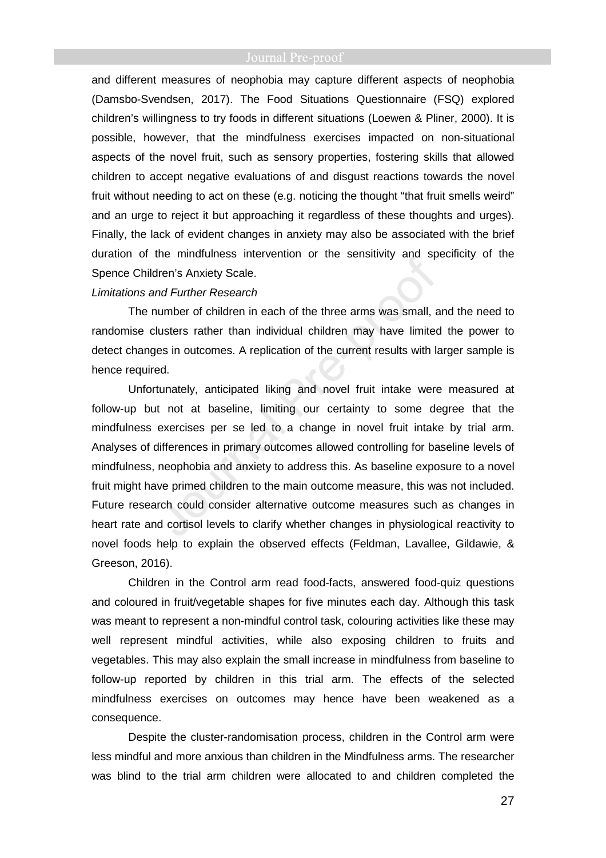and different measures of neophobia may capture different aspects of neophobia (Damsbo-Svendsen, 2017). The Food Situations Questionnaire (FSQ) explored children's willingness to try foods in different situations (Loewen & Pliner, 2000). It is possible, however, that the mindfulness exercises impacted on non-situational aspects of the novel fruit, such as sensory properties, fostering skills that allowed children to accept negative evaluations of and disgust reactions towards the novel fruit without needing to act on these (e.g. noticing the thought "that fruit smells weird" and an urge to reject it but approaching it regardless of these thoughts and urges). Finally, the lack of evident changes in anxiety may also be associated with the brief duration of the mindfulness intervention or the sensitivity and specificity of the Spence Children's Anxiety Scale.

### Limitations and Further Research

The number of children in each of the three arms was small, and the need to randomise clusters rather than individual children may have limited the power to detect changes in outcomes. A replication of the current results with larger sample is hence required.

Unfortunately, anticipated liking and novel fruit intake were measured at follow-up but not at baseline, limiting our certainty to some degree that the mindfulness exercises per se led to a change in novel fruit intake by trial arm. Analyses of differences in primary outcomes allowed controlling for baseline levels of mindfulness, neophobia and anxiety to address this. As baseline exposure to a novel fruit might have primed children to the main outcome measure, this was not included. Future research could consider alternative outcome measures such as changes in heart rate and cortisol levels to clarify whether changes in physiological reactivity to novel foods help to explain the observed effects (Feldman, Lavallee, Gildawie, & Greeson, 2016).

Children in the Control arm read food-facts, answered food-quiz questions and coloured in fruit/vegetable shapes for five minutes each day. Although this task was meant to represent a non-mindful control task, colouring activities like these may well represent mindful activities, while also exposing children to fruits and vegetables. This may also explain the small increase in mindfulness from baseline to follow-up reported by children in this trial arm. The effects of the selected mindfulness exercises on outcomes may hence have been weakened as a consequence.

Despite the cluster-randomisation process, children in the Control arm were less mindful and more anxious than children in the Mindfulness arms. The researcher was blind to the trial arm children were allocated to and children completed the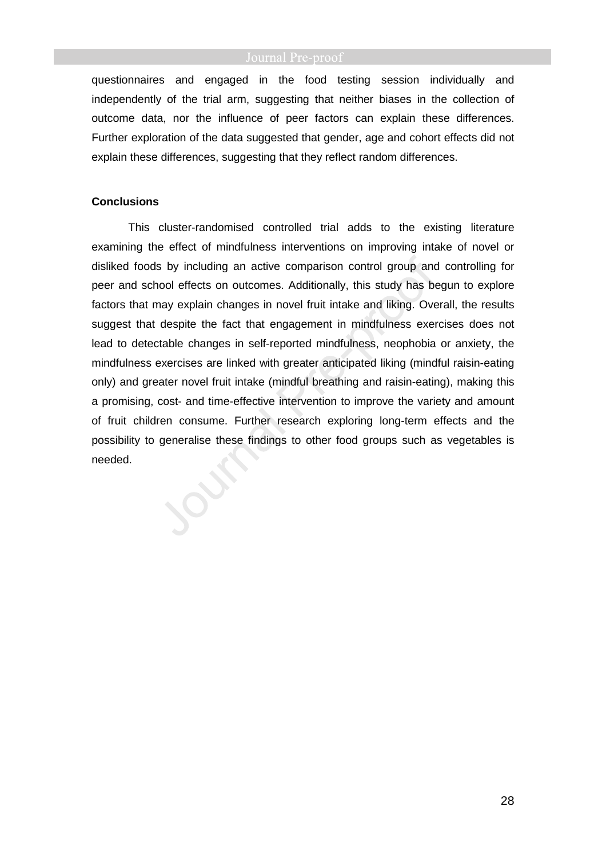questionnaires and engaged in the food testing session individually and independently of the trial arm, suggesting that neither biases in the collection of outcome data, nor the influence of peer factors can explain these differences. Further exploration of the data suggested that gender, age and cohort effects did not explain these differences, suggesting that they reflect random differences.

# **Conclusions**

This cluster-randomised controlled trial adds to the existing literature examining the effect of mindfulness interventions on improving intake of novel or disliked foods by including an active comparison control group and controlling for peer and school effects on outcomes. Additionally, this study has begun to explore factors that may explain changes in novel fruit intake and liking. Overall, the results suggest that despite the fact that engagement in mindfulness exercises does not lead to detectable changes in self-reported mindfulness, neophobia or anxiety, the mindfulness exercises are linked with greater anticipated liking (mindful raisin-eating only) and greater novel fruit intake (mindful breathing and raisin-eating), making this a promising, cost- and time-effective intervention to improve the variety and amount of fruit children consume. Further research exploring long-term effects and the possibility to generalise these findings to other food groups such as vegetables is needed.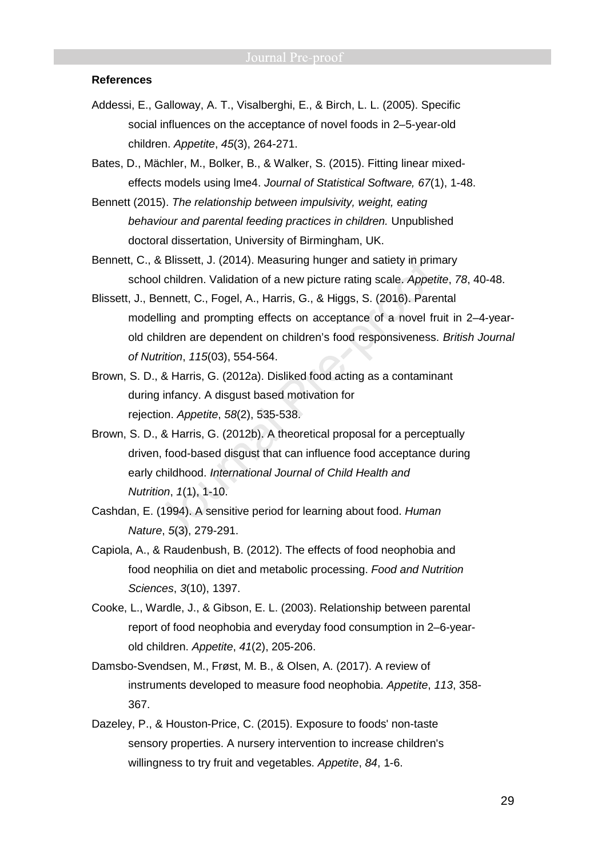### **References**

- Addessi, E., Galloway, A. T., Visalberghi, E., & Birch, L. L. (2005). Specific social influences on the acceptance of novel foods in 2–5-year-old children. Appetite, 45(3), 264-271.
- Bates, D., Mächler, M., Bolker, B., & Walker, S. (2015). Fitting linear mixedeffects models using lme4. Journal of Statistical Software, 67(1), 1-48.
- Bennett (2015). The relationship between impulsivity, weight, eating behaviour and parental feeding practices in children. Unpublished doctoral dissertation, University of Birmingham, UK.
- Bennett, C., & Blissett, J. (2014). Measuring hunger and satiety in primary school children. Validation of a new picture rating scale. Appetite, 78, 40-48.
- Blissett, J., Bennett, C., Fogel, A., Harris, G., & Higgs, S. (2016). Parental modelling and prompting effects on acceptance of a novel fruit in 2–4-yearold children are dependent on children's food responsiveness. British Journal of Nutrition, 115(03), 554-564.
- Brown, S. D., & Harris, G. (2012a). Disliked food acting as a contaminant during infancy. A disgust based motivation for rejection. Appetite, 58(2), 535-538.
- Brown, S. D., & Harris, G. (2012b). A theoretical proposal for a perceptually driven, food-based disgust that can influence food acceptance during early childhood. International Journal of Child Health and Nutrition, 1(1), 1-10.
- Cashdan, E. (1994). A sensitive period for learning about food. Human Nature, 5(3), 279-291.
- Capiola, A., & Raudenbush, B. (2012). The effects of food neophobia and food neophilia on diet and metabolic processing. Food and Nutrition Sciences, 3(10), 1397.
- Cooke, L., Wardle, J., & Gibson, E. L. (2003). Relationship between parental report of food neophobia and everyday food consumption in 2–6-yearold children. Appetite, 41(2), 205-206.
- Damsbo-Svendsen, M., Frøst, M. B., & Olsen, A. (2017). A review of instruments developed to measure food neophobia. Appetite, 113, 358- 367.
- Dazeley, P., & Houston-Price, C. (2015). Exposure to foods' non-taste sensory properties. A nursery intervention to increase children's willingness to try fruit and vegetables. Appetite, 84, 1-6.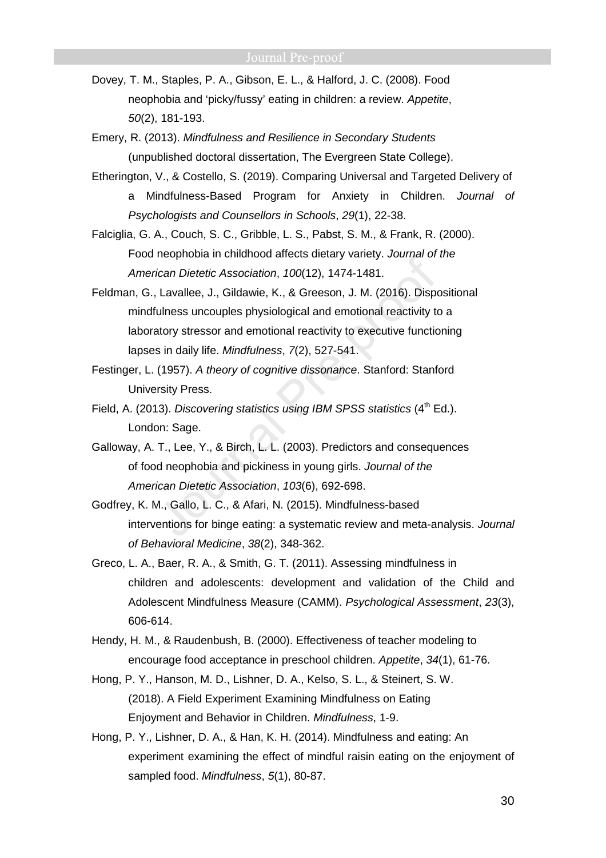- Dovey, T. M., Staples, P. A., Gibson, E. L., & Halford, J. C. (2008). Food neophobia and 'picky/fussy' eating in children: a review. Appetite, 50(2), 181-193.
- Emery, R. (2013). Mindfulness and Resilience in Secondary Students (unpublished doctoral dissertation, The Evergreen State College).
- Etherington, V., & Costello, S. (2019). Comparing Universal and Targeted Delivery of a Mindfulness-Based Program for Anxiety in Children. Journal of Psychologists and Counsellors in Schools, 29(1), 22-38.
- Falciglia, G. A., Couch, S. C., Gribble, L. S., Pabst, S. M., & Frank, R. (2000). Food neophobia in childhood affects dietary variety. Journal of the American Dietetic Association, 100(12), 1474-1481.
- Feldman, G., Lavallee, J., Gildawie, K., & Greeson, J. M. (2016). Dispositional mindfulness uncouples physiological and emotional reactivity to a laboratory stressor and emotional reactivity to executive functioning lapses in daily life. Mindfulness, 7(2), 527-541.
- Festinger, L. (1957). A theory of cognitive dissonance. Stanford: Stanford University Press.
- Field, A. (2013). Discovering statistics using IBM SPSS statistics (4<sup>th</sup> Ed.). London: Sage.
- Galloway, A. T., Lee, Y., & Birch, L. L. (2003). Predictors and consequences of food neophobia and pickiness in young girls. Journal of the American Dietetic Association, 103(6), 692-698.
- Godfrey, K. M., Gallo, L. C., & Afari, N. (2015). Mindfulness-based interventions for binge eating: a systematic review and meta-analysis. Journal of Behavioral Medicine, 38(2), 348-362.
- Greco, L. A., Baer, R. A., & Smith, G. T. (2011). Assessing mindfulness in children and adolescents: development and validation of the Child and Adolescent Mindfulness Measure (CAMM). Psychological Assessment, 23(3), 606-614.
- Hendy, H. M., & Raudenbush, B. (2000). Effectiveness of teacher modeling to encourage food acceptance in preschool children. Appetite, 34(1), 61-76.
- Hong, P. Y., Hanson, M. D., Lishner, D. A., Kelso, S. L., & Steinert, S. W. (2018). A Field Experiment Examining Mindfulness on Eating Enjoyment and Behavior in Children. Mindfulness, 1-9.
- Hong, P. Y., Lishner, D. A., & Han, K. H. (2014). Mindfulness and eating: An experiment examining the effect of mindful raisin eating on the enjoyment of sampled food. Mindfulness, 5(1), 80-87.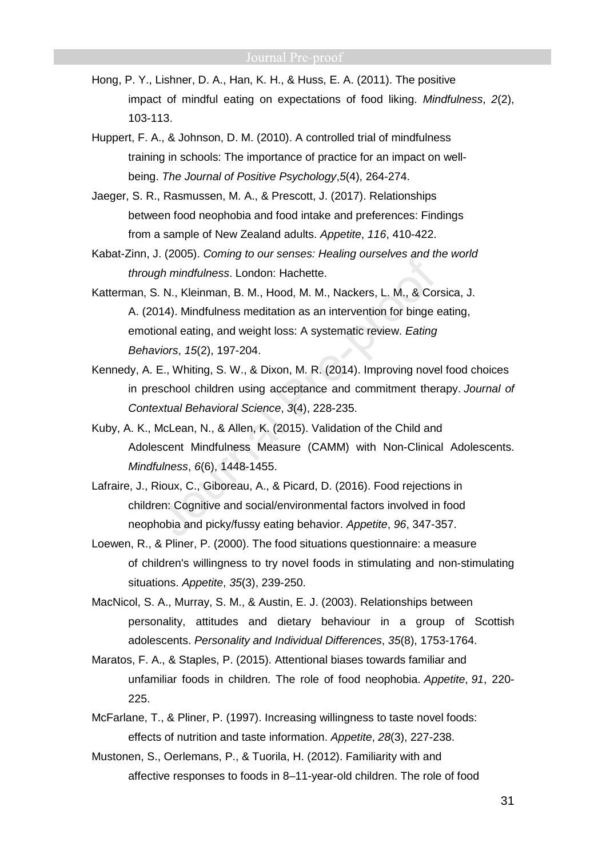- Hong, P. Y., Lishner, D. A., Han, K. H., & Huss, E. A. (2011). The positive impact of mindful eating on expectations of food liking. Mindfulness, 2(2), 103-113.
- Huppert, F. A., & Johnson, D. M. (2010). A controlled trial of mindfulness training in schools: The importance of practice for an impact on wellbeing. The Journal of Positive Psychology,5(4), 264-274.
- Jaeger, S. R., Rasmussen, M. A., & Prescott, J. (2017). Relationships between food neophobia and food intake and preferences: Findings from a sample of New Zealand adults. Appetite, 116, 410-422.
- Kabat-Zinn, J. (2005). Coming to our senses: Healing ourselves and the world through mindfulness. London: Hachette.
- Katterman, S. N., Kleinman, B. M., Hood, M. M., Nackers, L. M., & Corsica, J. A. (2014). Mindfulness meditation as an intervention for binge eating, emotional eating, and weight loss: A systematic review. Eating Behaviors, 15(2), 197-204.
- Kennedy, A. E., Whiting, S. W., & Dixon, M. R. (2014). Improving novel food choices in preschool children using acceptance and commitment therapy. Journal of Contextual Behavioral Science, 3(4), 228-235.
- Kuby, A. K., McLean, N., & Allen, K. (2015). Validation of the Child and Adolescent Mindfulness Measure (CAMM) with Non-Clinical Adolescents. Mindfulness, 6(6), 1448-1455.
- Lafraire, J., Rioux, C., Giboreau, A., & Picard, D. (2016). Food rejections in children: Cognitive and social/environmental factors involved in food neophobia and picky/fussy eating behavior. Appetite, 96, 347-357.
- Loewen, R., & Pliner, P. (2000). The food situations questionnaire: a measure of children's willingness to try novel foods in stimulating and non-stimulating situations. Appetite, 35(3), 239-250.
- MacNicol, S. A., Murray, S. M., & Austin, E. J. (2003). Relationships between personality, attitudes and dietary behaviour in a group of Scottish adolescents. Personality and Individual Differences, 35(8), 1753-1764.
- Maratos, F. A., & Staples, P. (2015). Attentional biases towards familiar and unfamiliar foods in children. The role of food neophobia. Appetite, 91, 220- 225.
- McFarlane, T., & Pliner, P. (1997). Increasing willingness to taste novel foods: effects of nutrition and taste information. Appetite, 28(3), 227-238.
- Mustonen, S., Oerlemans, P., & Tuorila, H. (2012). Familiarity with and affective responses to foods in 8–11-year-old children. The role of food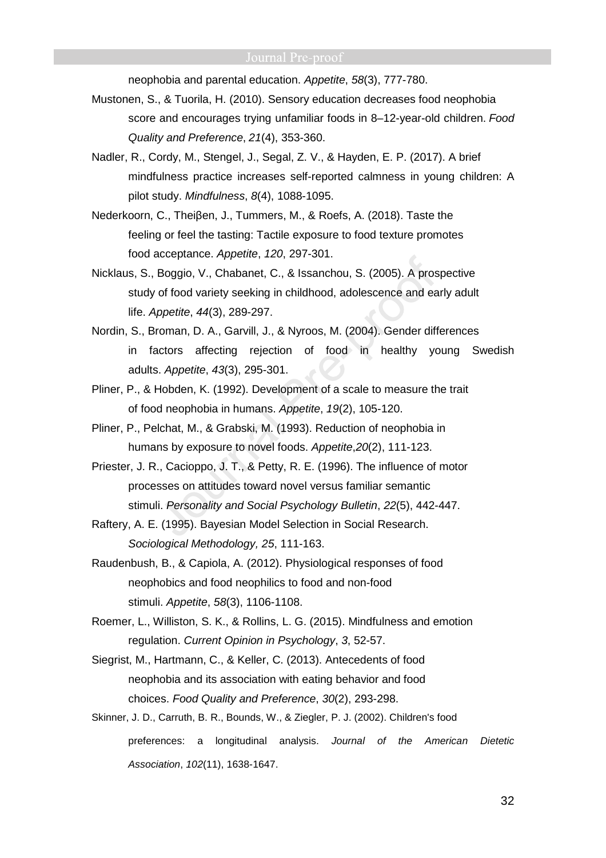neophobia and parental education. Appetite, 58(3), 777-780.

- Mustonen, S., & Tuorila, H. (2010). Sensory education decreases food neophobia score and encourages trying unfamiliar foods in 8–12-year-old children. Food Quality and Preference, 21(4), 353-360.
- Nadler, R., Cordy, M., Stengel, J., Segal, Z. V., & Hayden, E. P. (2017). A brief mindfulness practice increases self-reported calmness in young children: A pilot study. Mindfulness, 8(4), 1088-1095.
- Nederkoorn, C., Theiβen, J., Tummers, M., & Roefs, A. (2018). Taste the feeling or feel the tasting: Tactile exposure to food texture promotes food acceptance. Appetite, 120, 297-301.
- Nicklaus, S., Boggio, V., Chabanet, C., & Issanchou, S. (2005). A prospective study of food variety seeking in childhood, adolescence and early adult life. Appetite, 44(3), 289-297.
- Nordin, S., Broman, D. A., Garvill, J., & Nyroos, M. (2004). Gender differences in factors affecting rejection of food in healthy young Swedish adults. Appetite, 43(3), 295-301.
- Pliner, P., & Hobden, K. (1992). Development of a scale to measure the trait of food neophobia in humans. Appetite, 19(2), 105-120.
- Pliner, P., Pelchat, M., & Grabski, M. (1993). Reduction of neophobia in humans by exposure to novel foods. Appetite,20(2), 111-123.
- Priester, J. R., Cacioppo, J. T., & Petty, R. E. (1996). The influence of motor processes on attitudes toward novel versus familiar semantic stimuli. Personality and Social Psychology Bulletin, 22(5), 442-447.
- Raftery, A. E. (1995). Bayesian Model Selection in Social Research. Sociological Methodology, 25, 111-163.
- Raudenbush, B., & Capiola, A. (2012). Physiological responses of food neophobics and food neophilics to food and non-food stimuli. Appetite, 58(3), 1106-1108.
- Roemer, L., Williston, S. K., & Rollins, L. G. (2015). Mindfulness and emotion regulation. Current Opinion in Psychology, 3, 52-57.
- Siegrist, M., Hartmann, C., & Keller, C. (2013). Antecedents of food neophobia and its association with eating behavior and food choices. Food Quality and Preference, 30(2), 293-298.
- Skinner, J. D., Carruth, B. R., Bounds, W., & Ziegler, P. J. (2002). Children's food preferences: a longitudinal analysis. Journal of the American Dietetic Association, 102(11), 1638-1647.